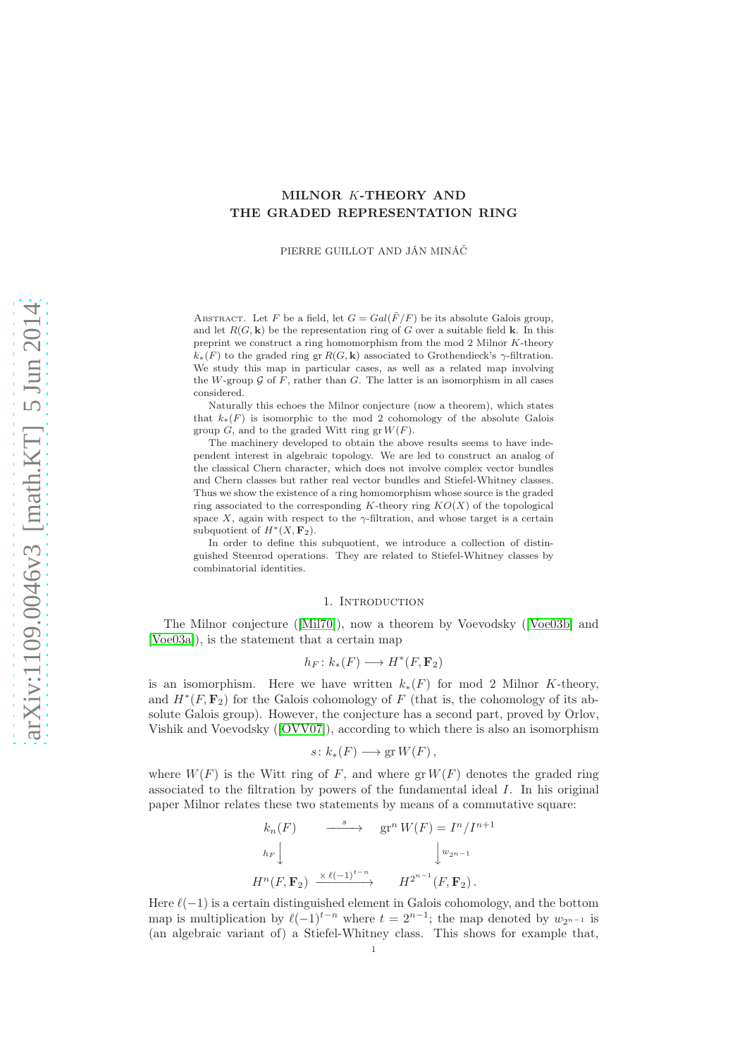# MILNOR K-THEORY AND THE GRADED REPRESENTATION RING

PIERRE GUILLOT AND JÁN MINÁČ

ABSTRACT. Let F be a field, let  $G = Gal(\overline{F}/F)$  be its absolute Galois group, and let  $R(G, \mathbf{k})$  be the representation ring of G over a suitable field **k**. In this preprint we construct a ring homomorphism from the mod 2 Milnor K-theory  $k_*(F)$  to the graded ring gr  $R(G, \mathbf{k})$  associated to Grothendieck's  $\gamma$ -filtration. We study this map in particular cases, as well as a related map involving the W-group  $\mathcal G$  of F, rather than G. The latter is an isomorphism in all cases considered.

Naturally this echoes the Milnor conjecture (now a theorem), which states that  $k_*(F)$  is isomorphic to the mod 2 cohomology of the absolute Galois group  $G$ , and to the graded Witt ring gr  $W(F)$ .

The machinery developed to obtain the above results seems to have independent interest in algebraic topology. We are led to construct an analog of the classical Chern character, which does not involve complex vector bundles and Chern classes but rather real vector bundles and Stiefel-Whitney classes. Thus we show the existence of a ring homomorphism whose source is the graded ring associated to the corresponding K-theory ring  $KO(X)$  of the topological space X, again with respect to the  $\gamma$ -filtration, and whose target is a certain subquotient of  $H^*(X, \mathbf{F}_2)$ .

In order to define this subquotient, we introduce a collection of distinguished Steenrod operations. They are related to Stiefel-Whitney classes by combinatorial identities.

#### 1. INTRODUCTION

The Milnor conjecture ([\[Mil70\]](#page-23-0)), now a theorem by Voevodsky ([\[Voe03b\]](#page-24-0) and [\[Voe03a\]](#page-24-1)), is the statement that a certain map

$$
h_F\colon k_*(F)\longrightarrow H^*(F,\mathbf{F}_2)
$$

is an isomorphism. Here we have written  $k_*(F)$  for mod 2 Milnor K-theory, and  $H^*(F, \mathbf{F}_2)$  for the Galois cohomology of F (that is, the cohomology of its absolute Galois group). However, the conjecture has a second part, proved by Orlov, Vishik and Voevodsky ([\[OVV07\]](#page-24-2)), according to which there is also an isomorphism

$$
s\colon k_*(F)\longrightarrow \operatorname{gr} W(F)\,,
$$

where  $W(F)$  is the Witt ring of F, and where  $gr W(F)$  denotes the graded ring associated to the filtration by powers of the fundamental ideal I. In his original paper Milnor relates these two statements by means of a commutative square:

$$
k_n(F) \longrightarrow \text{gr}^n W(F) = I^n / I^{n+1}
$$
  
\n
$$
h_F \downarrow \qquad \qquad \downarrow w_{2^{n-1}}
$$
  
\n
$$
H^n(F, \mathbf{F}_2) \xrightarrow{\times \ell(-1)^{t-n}} H^{2^{n-1}}(F, \mathbf{F}_2).
$$

Here  $\ell(-1)$  is a certain distinguished element in Galois cohomology, and the bottom map is multiplication by  $\ell(-1)^{t-n}$  where  $t = 2^{n-1}$ ; the map denoted by  $w_{2^{n-1}}$  is (an algebraic variant of) a Stiefel-Whitney class. This shows for example that,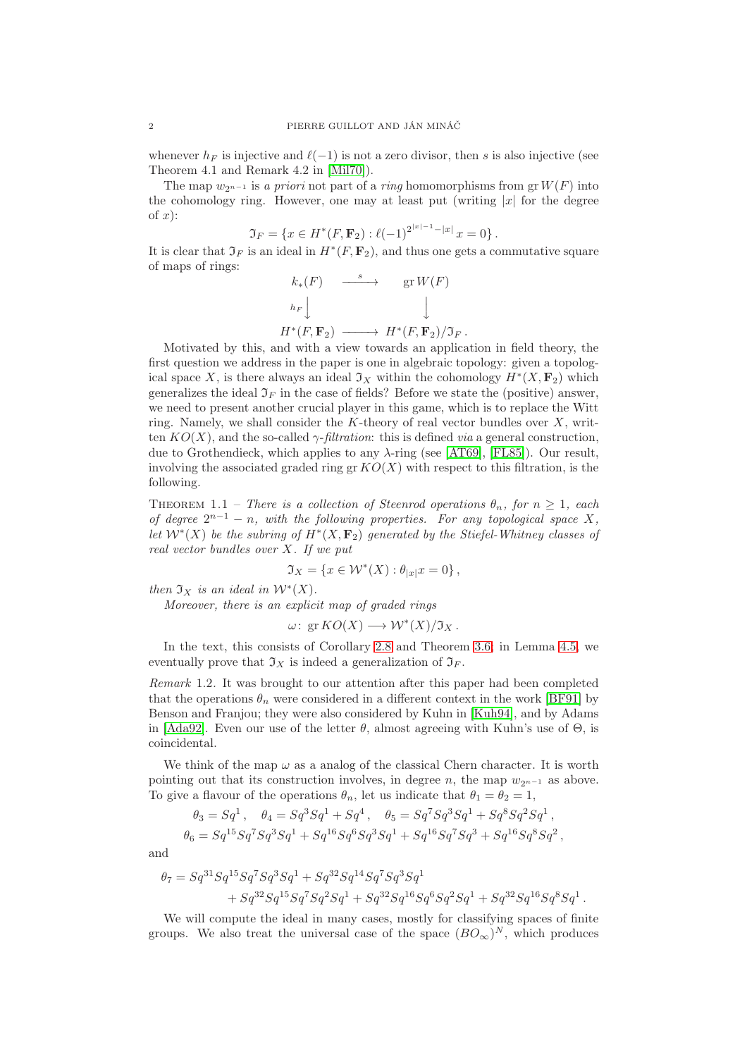whenever  $h_F$  is injective and  $\ell(-1)$  is not a zero divisor, then s is also injective (see Theorem 4.1 and Remark 4.2 in [\[Mil70\]](#page-23-0)).

The map  $w_{2n-1}$  is a priori not part of a ring homomorphisms from grW(F) into the cohomology ring. However, one may at least put (writing  $|x|$  for the degree of  $x$ ):

$$
\mathfrak{I}_F = \{ x \in H^*(F, \mathbf{F}_2) : \ell(-1)^{2^{|x|-1} - |x|} x = 0 \}.
$$

It is clear that  $\mathfrak{I}_F$  is an ideal in  $H^*(F, \mathbf{F}_2)$ , and thus one gets a commutative square of maps of rings:

$$
k_*(F) \xrightarrow{s} \operatorname{gr} W(F)
$$
  
\n
$$
h_F \downarrow \qquad \qquad \downarrow
$$
  
\n
$$
H^*(F, \mathbf{F}_2) \longrightarrow H^*(F, \mathbf{F}_2) / \mathfrak{I}_F.
$$

Motivated by this, and with a view towards an application in field theory, the first question we address in the paper is one in algebraic topology: given a topological space X, is there always an ideal  $\mathfrak{I}_X$  within the cohomology  $H^*(X, \mathbf{F}_2)$  which generalizes the ideal  $\mathfrak{I}_F$  in the case of fields? Before we state the (positive) answer,

we need to present another crucial player in this game, which is to replace the Witt ring. Namely, we shall consider the K-theory of real vector bundles over  $X$ , written  $KO(X)$ , and the so-called  $\gamma$ -*filtration*: this is defined *via* a general construction, due to Grothendieck, which applies to any  $\lambda$ -ring (see [\[AT69\]](#page-23-1), [\[FL85\]](#page-23-2)). Our result, involving the associated graded ring gr  $KO(X)$  with respect to this filtration, is the following.

THEOREM 1.1 – There is a collection of Steenrod operations  $\theta_n$ , for  $n \geq 1$ , each of degree  $2^{n-1} - n$ , with the following properties. For any topological space X, let  $\mathcal{W}^*(X)$  be the subring of  $H^*(X, \mathbf{F}_2)$  generated by the Stiefel-Whitney classes of real vector bundles over X. If we put

$$
\mathfrak{I}_X=\left\{x\in \mathcal{W}^*(X): \theta_{|x|}x=0\right\},
$$

then  $\mathfrak{I}_X$  is an ideal in  $\mathcal{W}^*(X)$ .

Moreover, there is an explicit map of graded rings

$$
\omega\colon \operatorname{gr} KO(X)\longrightarrow \mathcal{W}^*(X)/\mathfrak{I}_X\,.
$$

In the text, this consists of Corollary [2.8](#page-7-0) and Theorem [3.6;](#page-15-0) in Lemma [4.5,](#page-23-3) we eventually prove that  $\mathfrak{I}_X$  is indeed a generalization of  $\mathfrak{I}_F$ .

Remark 1.2. It was brought to our attention after this paper had been completed that the operations  $\theta_n$  were considered in a different context in the work [\[BF91\]](#page-23-4) by Benson and Franjou; they were also considered by Kuhn in [\[Kuh94\]](#page-23-5), and by Adams in [\[Ada92\]](#page-23-6). Even our use of the letter  $\theta$ , almost agreeing with Kuhn's use of  $\Theta$ , is coincidental.

We think of the map  $\omega$  as a analog of the classical Chern character. It is worth pointing out that its construction involves, in degree n, the map  $w_{2n-1}$  as above. To give a flavour of the operations  $\theta_n$ , let us indicate that  $\theta_1 = \theta_2 = 1$ ,

$$
\theta_3 = Sq^1, \quad \theta_4 = Sq^3Sq^1 + Sq^4, \quad \theta_5 = Sq^7Sq^3Sq^1 + Sq^8Sq^2Sq^1,
$$
  

$$
\theta_6 = Sq^{15}Sq^7Sq^3Sq^1 + Sq^{16}Sq^6Sq^3Sq^1 + Sq^{16}Sq^7Sq^3 + Sq^{16}Sq^8Sq^2,
$$

and

$$
\begin{aligned} \theta_7 &= S q^{31} S q^{15} S q^7 S q^3 S q^1 + S q^{32} S q^{14} S q^7 S q^3 S q^1 \\&\quad + S q^{32} S q^{15} S q^7 S q^2 S q^1 + S q^{32} S q^{16} S q^6 S q^2 S q^1 + S q^{32} S q^{16} S q^8 S q^1 \,. \end{aligned}
$$

We will compute the ideal in many cases, mostly for classifying spaces of finite groups. We also treat the universal case of the space  $(BO_{\infty})^N$ , which produces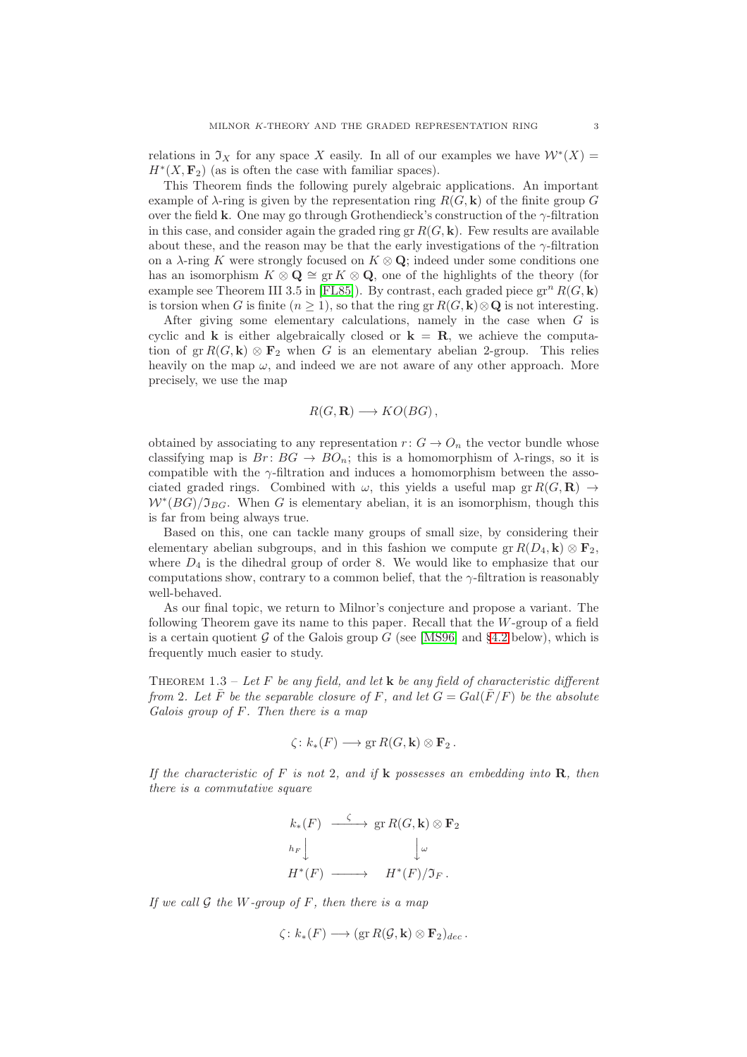relations in  $\mathfrak{I}_X$  for any space X easily. In all of our examples we have  $\mathcal{W}^*(X) =$  $H^*(X, \mathbf{F}_2)$  (as is often the case with familiar spaces).

This Theorem finds the following purely algebraic applications. An important example of  $\lambda$ -ring is given by the representation ring  $R(G, \mathbf{k})$  of the finite group G over the field k. One may go through Grothendieck's construction of the  $\gamma$ -filtration in this case, and consider again the graded ring gr  $R(G, \mathbf{k})$ . Few results are available about these, and the reason may be that the early investigations of the  $\gamma$ -filtration on a  $\lambda$ -ring K were strongly focused on  $K \otimes \mathbf{Q}$ ; indeed under some conditions one has an isomorphism  $K \otimes \mathbf{Q} \cong \operatorname{gr} K \otimes \mathbf{Q}$ , one of the highlights of the theory (for example see Theorem III 3.5 in [\[FL85\]](#page-23-2)). By contrast, each graded piece  $gr^n R(G, \mathbf{k})$ is torsion when G is finite  $(n \geq 1)$ , so that the ring gr  $R(G, \mathbf{k}) \otimes \mathbf{Q}$  is not interesting.

After giving some elementary calculations, namely in the case when G is cyclic and **k** is either algebraically closed or  $\mathbf{k} = \mathbf{R}$ , we achieve the computation of gr  $R(G, \mathbf{k}) \otimes \mathbf{F}_2$  when G is an elementary abelian 2-group. This relies heavily on the map  $\omega$ , and indeed we are not aware of any other approach. More precisely, we use the map

$$
R(G, \mathbf{R}) \longrightarrow KO(BG),
$$

obtained by associating to any representation  $r: G \to O_n$  the vector bundle whose classifying map is  $Br: BG \to BO_n$ ; this is a homomorphism of  $\lambda$ -rings, so it is compatible with the  $\gamma$ -filtration and induces a homomorphism between the associated graded rings. Combined with  $\omega$ , this yields a useful map gr  $R(G, \mathbf{R}) \to$  $W^*(BG)/\mathfrak{I}_{BG}$ . When G is elementary abelian, it is an isomorphism, though this is far from being always true.

Based on this, one can tackle many groups of small size, by considering their elementary abelian subgroups, and in this fashion we compute  $gr R(D_4, \mathbf{k}) \otimes \mathbf{F}_2$ , where  $D_4$  is the dihedral group of order 8. We would like to emphasize that our computations show, contrary to a common belief, that the  $\gamma$ -filtration is reasonably well-behaved.

As our final topic, we return to Milnor's conjecture and propose a variant. The following Theorem gave its name to this paper. Recall that the W-group of a field is a certain quotient  $G$  of the Galois group G (see [\[MS96\]](#page-24-3) and [§4.2](#page-19-0) below), which is frequently much easier to study.

THEOREM 1.3 – Let F be any field, and let **k** be any field of characteristic different from 2. Let  $\overline{F}$  be the separable closure of F, and let  $G = Gal(\overline{F}/F)$  be the absolute Galois group of F. Then there is a map

$$
\zeta\colon k_*(F)\longrightarrow \operatorname{gr} R(G,\mathbf{k})\otimes \mathbf{F}_2\,.
$$

If the characteristic of F is not 2, and if **k** possesses an embedding into **R**, then there is a commutative square

$$
k_*(F) \xrightarrow{\zeta} \text{gr } R(G,\mathbf{k}) \otimes \mathbf{F}_2
$$
  
\n
$$
h_F \downarrow \qquad \qquad \downarrow \omega
$$
  
\n
$$
H^*(F) \longrightarrow H^*(F)/\mathfrak{I}_F.
$$

If we call  $G$  the W-group of  $F$ , then there is a map

$$
\zeta\colon k_*(F)\longrightarrow (\text{gr } R(\mathcal{G},\mathbf{k})\otimes \mathbf{F}_2)_{dec}\,.
$$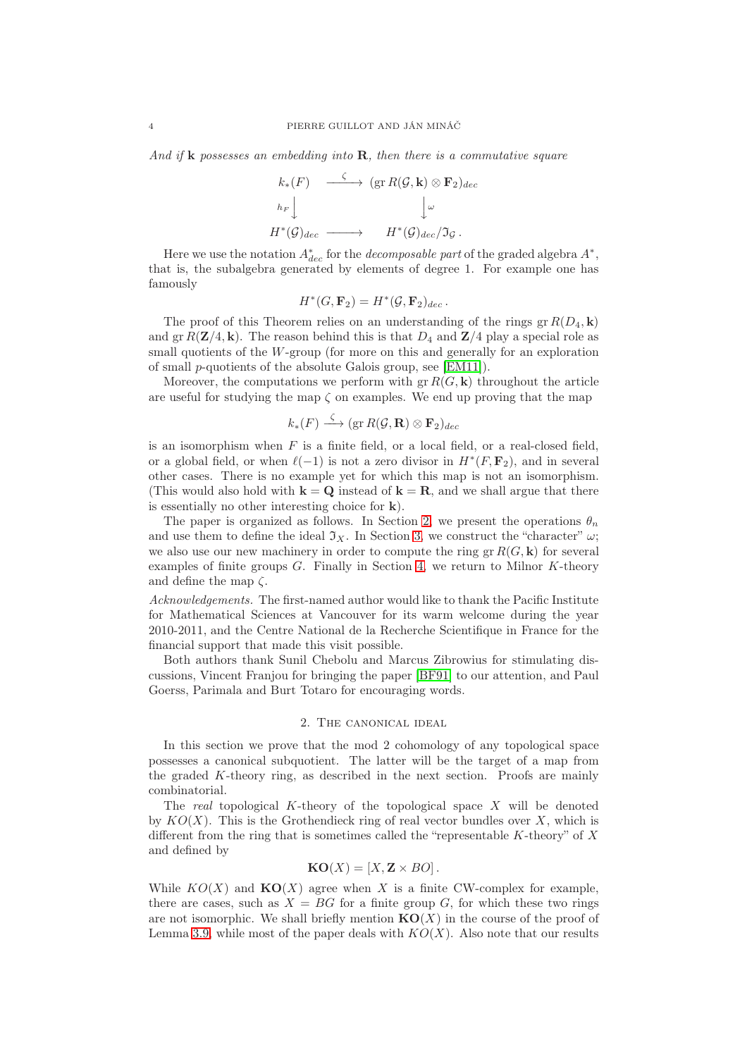And if **k** possesses an embedding into **R**, then there is a commutative square

$$
k_*(F) \longrightarrow (\text{gr } R(\mathcal{G}, \mathbf{k}) \otimes \mathbf{F}_2)_{dec}
$$
  
\n
$$
h_F \downarrow \qquad \qquad \downarrow \omega
$$
  
\n
$$
H^*(\mathcal{G})_{dec} \longrightarrow H^*(\mathcal{G})_{dec}/\mathfrak{I}_{\mathcal{G}}.
$$

Here we use the notation  $A_{dec}^*$  for the *decomposable part* of the graded algebra  $A^*$ , that is, the subalgebra generated by elements of degree 1. For example one has famously

$$
H^*(G,\mathbf{F}_2)=H^*(\mathcal{G},\mathbf{F}_2)_{dec}.
$$

The proof of this Theorem relies on an understanding of the rings gr  $R(D_4, \mathbf{k})$ and gr $R(\mathbf{Z}/4, \mathbf{k})$ . The reason behind this is that  $D_4$  and  $\mathbf{Z}/4$  play a special role as small quotients of the W-group (for more on this and generally for an exploration of small p-quotients of the absolute Galois group, see [\[EM11\]](#page-23-7)).

Moreover, the computations we perform with  $gr R(G, \mathbf{k})$  throughout the article are useful for studying the map  $\zeta$  on examples. We end up proving that the map

$$
k_*(F) \stackrel{\zeta}{\longrightarrow} (\operatorname{gr} R(\mathcal{G}, \mathbf{R}) \otimes \mathbf{F}_2)_{dec}
$$

is an isomorphism when  $F$  is a finite field, or a local field, or a real-closed field, or a global field, or when  $\ell(-1)$  is not a zero divisor in  $H^*(F, \mathbf{F}_2)$ , and in several other cases. There is no example yet for which this map is not an isomorphism. (This would also hold with  $k = Q$  instead of  $k = R$ , and we shall argue that there is essentially no other interesting choice for k).

The paper is organized as follows. In Section [2,](#page-3-0) we present the operations  $\theta_n$ and use them to define the ideal  $\mathfrak{I}_X$ . In Section [3,](#page-12-0) we construct the "character"  $\omega$ ; we also use our new machinery in order to compute the ring gr  $R(G, \mathbf{k})$  for several examples of finite groups  $G$ . Finally in Section [4,](#page-19-1) we return to Milnor  $K$ -theory and define the map  $\zeta$ .

Acknowledgements. The first-named author would like to thank the Pacific Institute for Mathematical Sciences at Vancouver for its warm welcome during the year 2010-2011, and the Centre National de la Recherche Scientifique in France for the financial support that made this visit possible.

Both authors thank Sunil Chebolu and Marcus Zibrowius for stimulating discussions, Vincent Franjou for bringing the paper [\[BF91\]](#page-23-4) to our attention, and Paul Goerss, Parimala and Burt Totaro for encouraging words.

### 2. The canonical ideal

<span id="page-3-0"></span>In this section we prove that the mod 2 cohomology of any topological space possesses a canonical subquotient. The latter will be the target of a map from the graded K-theory ring, as described in the next section. Proofs are mainly combinatorial.

The real topological K-theory of the topological space  $X$  will be denoted by  $KO(X)$ . This is the Grothendieck ring of real vector bundles over X, which is different from the ring that is sometimes called the "representable  $K$ -theory" of  $X$ and defined by

$$
KO(X) = [X, Z \times BO].
$$

While  $KO(X)$  and  $KO(X)$  agree when X is a finite CW-complex for example, there are cases, such as  $X = BG$  for a finite group G, for which these two rings are not isomorphic. We shall briefly mention  $KO(X)$  in the course of the proof of Lemma [3.9,](#page-16-0) while most of the paper deals with  $KO(X)$ . Also note that our results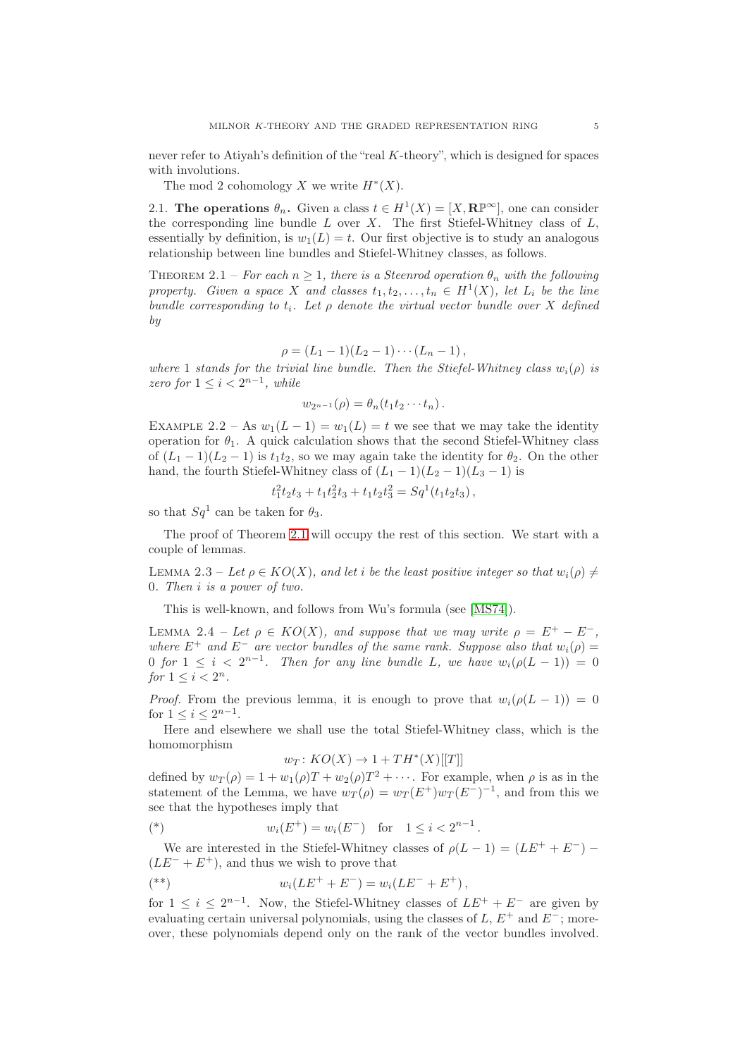never refer to Atiyah's definition of the "real K-theory", which is designed for spaces with involutions.

The mod 2 cohomology X we write  $H^*(X)$ .

2.1. The operations  $\theta_n$ . Given a class  $t \in H^1(X) = [X, \mathbb{R}^n]$ , one can consider the corresponding line bundle  $L$  over  $X$ . The first Stiefel-Whitney class of  $L$ , essentially by definition, is  $w_1(L) = t$ . Our first objective is to study an analogous relationship between line bundles and Stiefel-Whitney classes, as follows.

<span id="page-4-0"></span>THEOREM 2.1 – For each  $n \geq 1$ , there is a Steenrod operation  $\theta_n$  with the following property. Given a space X and classes  $t_1, t_2, \ldots, t_n \in H^1(X)$ , let  $L_i$  be the line bundle corresponding to  $t_i$ . Let  $\rho$  denote the virtual vector bundle over X defined by

$$
\rho = (L_1 - 1)(L_2 - 1) \cdots (L_n - 1),
$$

where 1 stands for the trivial line bundle. Then the Stiefel-Whitney class  $w_i(\rho)$  is zero for  $1 \leq i < 2^{n-1}$ , while

$$
w_{2^{n-1}}(\rho)=\theta_n(t_1t_2\cdots t_n).
$$

EXAMPLE 2.2 – As  $w_1(L-1) = w_1(L) = t$  we see that we may take the identity operation for  $\theta_1$ . A quick calculation shows that the second Stiefel-Whitney class of  $(L_1 - 1)(L_2 - 1)$  is  $t_1t_2$ , so we may again take the identity for  $\theta_2$ . On the other hand, the fourth Stiefel-Whitney class of  $(L_1 - 1)(L_2 - 1)(L_3 - 1)$  is

$$
t_1^2t_2t_3 + t_1t_2^2t_3 + t_1t_2t_3^2 = Sq1(t_1t_2t_3),
$$

so that  $Sq^1$  can be taken for  $\theta_3$ .

The proof of Theorem [2.1](#page-4-0) will occupy the rest of this section. We start with a couple of lemmas.

<span id="page-4-1"></span>LEMMA 2.3 – Let  $\rho \in KO(X)$ , and let i be the least positive integer so that  $w_i(\rho) \neq$ 0. Then i is a power of two.

This is well-known, and follows from Wu's formula (see [\[MS74\]](#page-24-4)).

<span id="page-4-2"></span>LEMMA 2.4 – Let  $\rho \in KO(X)$ , and suppose that we may write  $\rho = E^+ - E^-$ , where  $E^+$  and  $E^-$  are vector bundles of the same rank. Suppose also that  $w_i(\rho)$ 0 for  $1 \leq i < 2^{n-1}$ . Then for any line bundle L, we have  $w_i(\rho(L-1)) = 0$ for  $1 \leq i < 2^n$ .

*Proof.* From the previous lemma, it is enough to prove that  $w_i(\rho(L-1)) = 0$ for  $1 \le i \le 2^{n-1}$ .

Here and elsewhere we shall use the total Stiefel-Whitney class, which is the homomorphism

$$
w_T \colon KO(X) \to 1 + TH^*(X)[[T]]
$$

defined by  $w_T(\rho) = 1 + w_1(\rho)T + w_2(\rho)T^2 + \cdots$ . For example, when  $\rho$  is as in the statement of the Lemma, we have  $w_T(\rho) = w_T (E^+) w_T (E^-)^{-1}$ , and from this we see that the hypotheses imply that

(\*) 
$$
w_i(E^+) = w_i(E^-)
$$
 for  $1 \le i < 2^{n-1}$ .

We are interested in the Stiefel-Whitney classes of  $\rho(L-1) = (LE^{+} + E^{-}) (LE^{-} + E^{+})$ , and thus we wish to prove that

$$
(*)\qquad w_i(LE^+ + E^-) = w_i(LE^- + E^+),
$$

for  $1 \leq i \leq 2^{n-1}$ . Now, the Stiefel-Whitney classes of  $LE^+ + E^-$  are given by evaluating certain universal polynomials, using the classes of L,  $E^+$  and  $E^-$ ; moreover, these polynomials depend only on the rank of the vector bundles involved.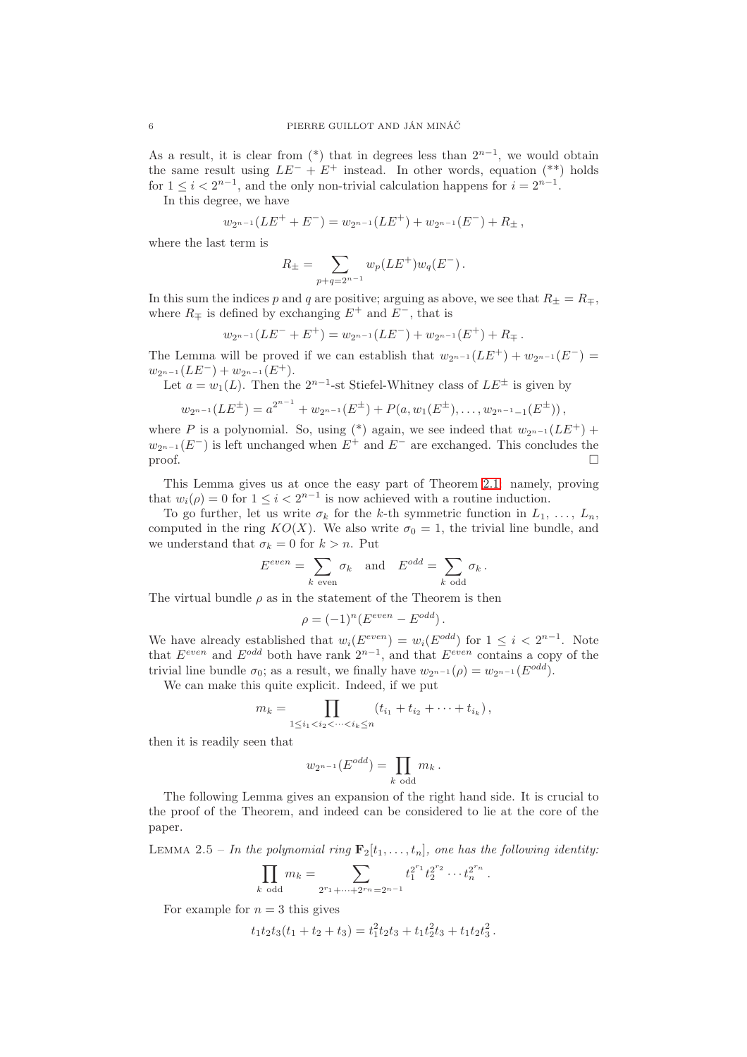As a result, it is clear from  $(*)$  that in degrees less than  $2^{n-1}$ , we would obtain the same result using  $LE^- + E^+$  instead. In other words, equation (\*\*) holds for  $1 \leq i < 2^{n-1}$ , and the only non-trivial calculation happens for  $i = 2^{n-1}$ .

In this degree, we have

$$
w_{2^{n-1}}(LE^+ + E^-) = w_{2^{n-1}}(LE^+) + w_{2^{n-1}}(E^-) + R_{\pm},
$$

where the last term is

$$
R_{\pm} = \sum_{p+q=2^{n-1}} w_p(LE^+) w_q(E^-) \, .
$$

In this sum the indices p and q are positive; arguing as above, we see that  $R_{\pm} = R_{\mp}$ , where  $R_{\pm}$  is defined by exchanging  $E^{+}$  and  $E^{-}$ , that is

$$
w_{2^{n-1}}(LE^{-} + E^{+}) = w_{2^{n-1}}(LE^{-}) + w_{2^{n-1}}(E^{+}) + R_{\mp}.
$$

The Lemma will be proved if we can establish that  $w_{2^{n-1}}(LE^+) + w_{2^{n-1}}(E^-) =$  $w_{2^{n-1}}(LE^{-}) + w_{2^{n-1}}(E^{+}).$ 

Let  $a = w_1(L)$ . Then the  $2^{n-1}$ -st Stiefel-Whitney class of  $LE^{\pm}$  is given by

$$
w_{2^{n-1}}(LE^{\pm}) = a^{2^{n-1}} + w_{2^{n-1}}(E^{\pm}) + P(a, w_1(E^{\pm}), \ldots, w_{2^{n-1}-1}(E^{\pm})),
$$

where P is a polynomial. So, using (\*) again, we see indeed that  $w_{2^{n-1}}(LE^+)$  +  $w_{2^{n-1}}(E^-)$  is left unchanged when  $E^+$  and  $E^-$  are exchanged. This concludes the  $\Box$ 

This Lemma gives us at once the easy part of Theorem [2.1:](#page-4-0) namely, proving that  $w_i(\rho) = 0$  for  $1 \leq i < 2^{n-1}$  is now achieved with a routine induction.

To go further, let us write  $\sigma_k$  for the k-th symmetric function in  $L_1, \ldots, L_n$ . computed in the ring  $KO(X)$ . We also write  $\sigma_0 = 1$ , the trivial line bundle, and we understand that  $\sigma_k = 0$  for  $k > n$ . Put

$$
E^{even} = \sum_{k \text{ even}} \sigma_k \quad \text{and} \quad E^{odd} = \sum_{k \text{ odd}} \sigma_k.
$$

The virtual bundle  $\rho$  as in the statement of the Theorem is then

$$
\rho=(-1)^n(E^{even}-E^{odd})\,.
$$

We have already established that  $w_i(E^{even}) = w_i(E^{odd})$  for  $1 \leq i < 2^{n-1}$ . Note that  $E^{even}$  and  $E^{odd}$  both have rank  $2^{n-1}$ , and that  $E^{even}$  contains a copy of the trivial line bundle  $\sigma_0$ ; as a result, we finally have  $w_{2n-1}(\rho) = w_{2n-1}(E^{odd})$ .

We can make this quite explicit. Indeed, if we put

$$
m_k = \prod_{1 \leq i_1 < i_2 < \dots < i_k \leq n} (t_{i_1} + t_{i_2} + \dots + t_{i_k}),
$$

then it is readily seen that

$$
w_{2^{n-1}}(E^{odd}) = \prod_{k \text{ odd}} m_k.
$$

The following Lemma gives an expansion of the right hand side. It is crucial to the proof of the Theorem, and indeed can be considered to lie at the core of the paper.

<span id="page-5-0"></span>LEMMA 2.5 – In the polynomial ring  $\mathbf{F}_2[t_1, \ldots, t_n]$ , one has the following identity:

$$
\prod_{k \text{ odd}} m_k = \sum_{2^{r_1}+\cdots+2^{r_n}=2^{n-1}} t_1^{2^{r_1}} t_2^{2^{r_2}} \cdots t_n^{2^{r_n}}.
$$

For example for  $n = 3$  this gives

$$
t_1t_2t_3(t_1+t_2+t_3) = t_1^2t_2t_3 + t_1t_2^2t_3 + t_1t_2t_3^2.
$$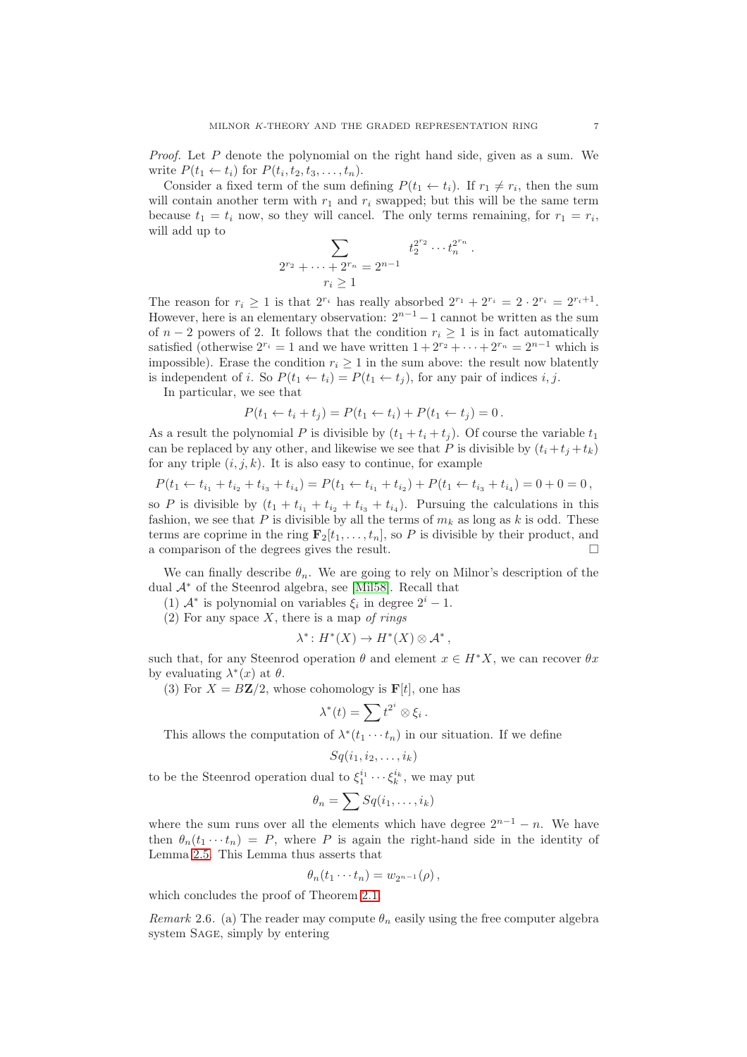Proof. Let P denote the polynomial on the right hand side, given as a sum. We write  $P(t_1 \leftarrow t_i)$  for  $P(t_i, t_2, t_3, \ldots, t_n)$ .

Consider a fixed term of the sum defining  $P(t_1 \leftarrow t_i)$ . If  $r_1 \neq r_i$ , then the sum will contain another term with  $r_1$  and  $r_i$  swapped; but this will be the same term because  $t_1 = t_i$  now, so they will cancel. The only terms remaining, for  $r_1 = r_i$ , will add up to

$$
\sum_{2^{r_2} + \dots + 2^{r_n} = 2^{n-1}} t_2^{2^{r_2}} \dots t_n^{2^{r_n}}.
$$
  

$$
r_i \ge 1
$$

The reason for  $r_i \geq 1$  is that  $2^{r_i}$  has really absorbed  $2^{r_1} + 2^{r_i} = 2 \cdot 2^{r_i} = 2^{r_i+1}$ . However, here is an elementary observation:  $2^{n-1} - 1$  cannot be written as the sum of  $n-2$  powers of 2. It follows that the condition  $r_i \geq 1$  is in fact automatically satisfied (otherwise  $2^{r_i} = 1$  and we have written  $1 + 2^{r_2} + \cdots + 2^{r_n} = 2^{n-1}$  which is impossible). Erase the condition  $r_i \geq 1$  in the sum above: the result now blatently is independent of i. So  $P(t_1 \leftarrow t_i) = P(t_1 \leftarrow t_j)$ , for any pair of indices i, j.

In particular, we see that

$$
P(t_1 \leftarrow t_i + t_j) = P(t_1 \leftarrow t_i) + P(t_1 \leftarrow t_j) = 0.
$$

As a result the polynomial P is divisible by  $(t_1 + t_i + t_j)$ . Of course the variable  $t_1$ can be replaced by any other, and likewise we see that P is divisible by  $(t_i + t_j + t_k)$ for any triple  $(i, j, k)$ . It is also easy to continue, for example

$$
P(t_1 \leftarrow t_{i_1} + t_{i_2} + t_{i_3} + t_{i_4}) = P(t_1 \leftarrow t_{i_1} + t_{i_2}) + P(t_1 \leftarrow t_{i_3} + t_{i_4}) = 0 + 0 = 0,
$$

so P is divisible by  $(t_1 + t_{i_1} + t_{i_2} + t_{i_3} + t_{i_4})$ . Pursuing the calculations in this fashion, we see that P is divisible by all the terms of  $m_k$  as long as k is odd. These terms are coprime in the ring  $\mathbf{F}_2[t_1, \ldots, t_n]$ , so P is divisible by their product, and a comparison of the degrees gives the result.

We can finally describe  $\theta_n$ . We are going to rely on Milnor's description of the dual <sup>A</sup><sup>∗</sup> of the Steenrod algebra, see [\[Mil58\]](#page-23-8). Recall that

(1)  $\mathcal{A}^*$  is polynomial on variables  $\xi_i$  in degree  $2^i - 1$ .

(2) For any space  $X$ , there is a map of rings

$$
\lambda^* \colon H^*(X) \to H^*(X) \otimes \mathcal{A}^*,
$$

such that, for any Steenrod operation  $\theta$  and element  $x \in H^*X$ , we can recover  $\theta x$ by evaluating  $\lambda^*(x)$  at  $\theta$ .

(3) For  $X = B\mathbb{Z}/2$ , whose cohomology is  $\mathbf{F}[t]$ , one has

$$
\lambda^*(t) = \sum t^{2^i} \otimes \xi_i.
$$

This allows the computation of  $\lambda^*(t_1 \cdots t_n)$  in our situation. If we define

$$
Sq(i_1, i_2, \ldots, i_k)
$$

to be the Steenrod operation dual to  $\xi_1^{i_1} \cdots \xi_k^{i_k}$ , we may put

$$
\theta_n = \sum Sq(i_1, \ldots, i_k)
$$

where the sum runs over all the elements which have degree  $2^{n-1} - n$ . We have then  $\theta_n(t_1 \cdots t_n) = P$ , where P is again the right-hand side in the identity of Lemma [2.5.](#page-5-0) This Lemma thus asserts that

$$
\theta_n(t_1\cdots t_n)=w_{2^{n-1}}(\rho)\,
$$

which concludes the proof of Theorem [2.1.](#page-4-0)

Remark 2.6. (a) The reader may compute  $\theta_n$  easily using the free computer algebra system Sage, simply by entering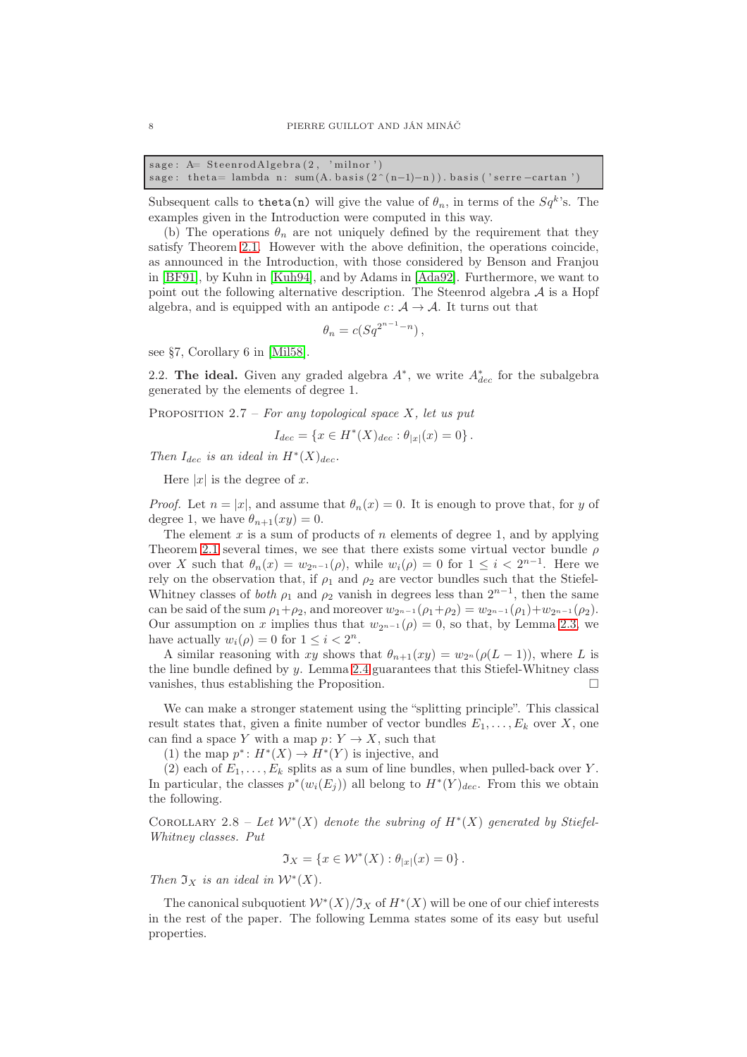| sage: A = SteenrodAlgebra(2, 'milnor') |  |                                                                               |
|----------------------------------------|--|-------------------------------------------------------------------------------|
|                                        |  | sage: theta= lambda n: sum(A. basis $(2^{(n-1)-n})$ ). basis ('serre-cartan') |

Subsequent calls to theta(n) will give the value of  $\theta_n$ , in terms of the  $Sq^k$ 's. The examples given in the Introduction were computed in this way.

(b) The operations  $\theta_n$  are not uniquely defined by the requirement that they satisfy Theorem [2.1.](#page-4-0) However with the above definition, the operations coincide, as announced in the Introduction, with those considered by Benson and Franjou in [\[BF91\]](#page-23-4), by Kuhn in [\[Kuh94\]](#page-23-5), and by Adams in [\[Ada92\]](#page-23-6). Furthermore, we want to point out the following alternative description. The Steenrod algebra  $A$  is a Hopf algebra, and is equipped with an antipode  $c: A \rightarrow A$ . It turns out that

$$
\theta_n = c(Sq^{2^{n-1}-n}),
$$

see §7, Corollary 6 in [\[Mil58\]](#page-23-8).

2.2. The ideal. Given any graded algebra  $A^*$ , we write  $A^*_{dec}$  for the subalgebra generated by the elements of degree 1.

PROPOSITION 2.7 – For any topological space X, let us put

$$
I_{dec} = \{ x \in H^*(X)_{dec} : \theta_{|x|}(x) = 0 \}.
$$

Then  $I_{dec}$  is an ideal in  $H^*(X)_{dec}$ .

Here  $|x|$  is the degree of x.

*Proof.* Let  $n = |x|$ , and assume that  $\theta_n(x) = 0$ . It is enough to prove that, for y of degree 1, we have  $\theta_{n+1}(xy) = 0$ .

The element  $x$  is a sum of products of  $n$  elements of degree 1, and by applying Theorem [2.1](#page-4-0) several times, we see that there exists some virtual vector bundle  $\rho$ over X such that  $\theta_n(x) = w_{2^{n-1}}(\rho)$ , while  $w_i(\rho) = 0$  for  $1 \leq i < 2^{n-1}$ . Here we rely on the observation that, if  $\rho_1$  and  $\rho_2$  are vector bundles such that the Stiefel-Whitney classes of *both*  $\rho_1$  and  $\rho_2$  vanish in degrees less than  $2^{n-1}$ , then the same can be said of the sum  $\rho_1+\rho_2$ , and moreover  $w_{2^{n-1}}(\rho_1+\rho_2) = w_{2^{n-1}}(\rho_1)+w_{2^{n-1}}(\rho_2)$ . Our assumption on x implies thus that  $w_{2^{n-1}}(\rho) = 0$ , so that, by Lemma [2.3,](#page-4-1) we have actually  $w_i(\rho) = 0$  for  $1 \leq i < 2^n$ .

A similar reasoning with xy shows that  $\theta_{n+1}(xy) = w_{2n}(\rho(L-1))$ , where L is the line bundle defined by y. Lemma [2.4](#page-4-2) guarantees that this Stiefel-Whitney class vanishes, thus establishing the Proposition.

We can make a stronger statement using the "splitting principle". This classical result states that, given a finite number of vector bundles  $E_1, \ldots, E_k$  over X, one can find a space Y with a map  $p: Y \to X$ , such that

(1) the map  $p^*: H^*(X) \to H^*(Y)$  is injective, and

(2) each of  $E_1, \ldots, E_k$  splits as a sum of line bundles, when pulled-back over Y. In particular, the classes  $p^*(w_i(E_j))$  all belong to  $H^*(Y)_{dec}$ . From this we obtain the following.

<span id="page-7-0"></span>COROLLARY 2.8 – Let  $W^*(X)$  denote the subring of  $H^*(X)$  generated by Stiefel-Whitney classes. Put

$$
\mathfrak{I}_X=\left\{x\in \mathcal{W}^*(X): \theta_{|x|}(x)=0\right\}.
$$

Then  $\mathfrak{I}_X$  is an ideal in  $\mathcal{W}^*(X)$ .

The canonical subquotient  $W^*(X)/\mathfrak{I}_X$  of  $H^*(X)$  will be one of our chief interests in the rest of the paper. The following Lemma states some of its easy but useful properties.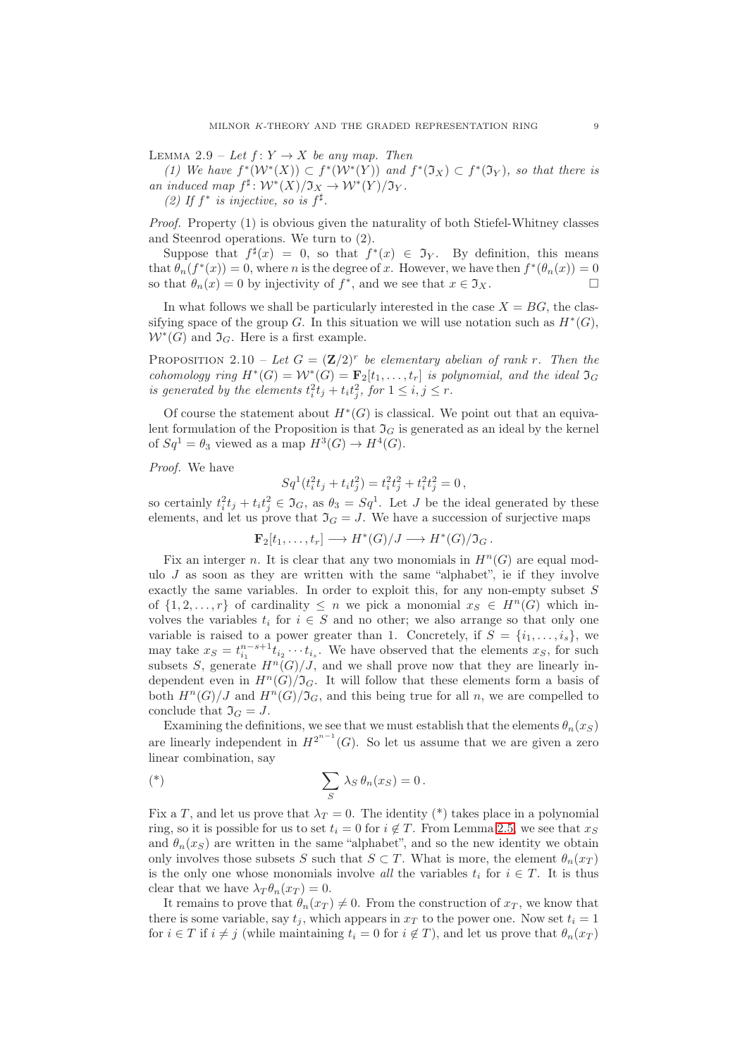<span id="page-8-0"></span>LEMMA 2.9 – Let  $f: Y \to X$  be any map. Then

(1) We have  $f^*(W^*(X)) \subset f^*(W^*(Y))$  and  $f^*(\mathfrak{I}_X) \subset f^*(\mathfrak{I}_Y)$ , so that there is an induced map  $f^{\sharp} \colon \mathcal{W}^*(X)/\mathfrak{I}_X \to \mathcal{W}^*(Y)/\mathfrak{I}_Y$ .

(2) If  $f^*$  is injective, so is  $f^{\sharp}$ .

Proof. Property (1) is obvious given the naturality of both Stiefel-Whitney classes and Steenrod operations. We turn to (2).

Suppose that  $f^*(x) = 0$ , so that  $f^*(x) \in \mathcal{T}_Y$ . By definition, this means that  $\theta_n(f^*(x)) = 0$ , where *n* is the degree of *x*. However, we have then  $f^*(\theta_n(x)) = 0$ so that  $\theta_n(x) = 0$  by injectivity of  $f^*$ , and we see that  $x \in \mathfrak{I}_X$ .

In what follows we shall be particularly interested in the case  $X = BG$ , the classifying space of the group G. In this situation we will use notation such as  $H^*(G)$ ,  $W^*(G)$  and  $\mathfrak{I}_G$ . Here is a first example.

<span id="page-8-1"></span>PROPOSITION 2.10 – Let  $G = (\mathbf{Z}/2)^r$  be elementary abelian of rank r. Then the cohomology ring  $H^*(G) = \mathcal{W}^*(G) = \mathbf{F}_2[t_1,\ldots,t_r]$  is polynomial, and the ideal  $\mathfrak{I}_G$ is generated by the elements  $t_i^2 t_j + t_i t_j^2$ , for  $1 \le i, j \le r$ .

Of course the statement about  $H^*(G)$  is classical. We point out that an equivalent formulation of the Proposition is that  $\mathfrak{I}_G$  is generated as an ideal by the kernel of  $Sq^1 = \theta_3$  viewed as a map  $H^3(G) \to H^4(G)$ .

Proof. We have

$$
Sq^1(t_i^2t_j + t_it_j^2) = t_i^2t_j^2 + t_i^2t_j^2 = 0,
$$

so certainly  $t_i^2 t_j + t_i t_j^2 \in \mathfrak{I}_G$ , as  $\theta_3 = Sq^1$ . Let J be the ideal generated by these elements, and let us prove that  $\mathfrak{I}_G = J$ . We have a succession of surjective maps

 $\mathbf{F}_2[t_1,\ldots,t_r] \longrightarrow H^*(G)/J \longrightarrow H^*(G)/\mathfrak{I}_G.$ 

Fix an interger n. It is clear that any two monomials in  $H<sup>n</sup>(G)$  are equal modulo  $J$  as soon as they are written with the same "alphabet", ie if they involve exactly the same variables. In order to exploit this, for any non-empty subset  $S$ of  $\{1, 2, \ldots, r\}$  of cardinality  $\leq n$  we pick a monomial  $x_S \in H^n(G)$  which involves the variables  $t_i$  for  $i \in S$  and no other; we also arrange so that only one variable is raised to a power greater than 1. Concretely, if  $S = \{i_1, \ldots, i_s\}$ , we may take  $x_S = t_{i_1}^{n-s+1} t_{i_2} \cdots t_{i_s}$ . We have observed that the elements  $x_S$ , for such subsets S, generate  $H^n(G)/J$ , and we shall prove now that they are linearly independent even in  $H^n(G)/\mathfrak{I}_G$ . It will follow that these elements form a basis of both  $H^n(G)/J$  and  $H^n(G)/\mathfrak{I}_G$ , and this being true for all n, we are compelled to conclude that  $\mathfrak{I}_G = J$ .

Examining the definitions, we see that we must establish that the elements  $\theta_n(x_S)$ are linearly independent in  $H^{2^{n-1}}(G)$ . So let us assume that we are given a zero linear combination, say

$$
(*)\qquad \sum_{S}\lambda_S\,\theta_n(x_S)=0\,.
$$

Fix a T, and let us prove that  $\lambda_T = 0$ . The identity (\*) takes place in a polynomial ring, so it is possible for us to set  $t_i = 0$  for  $i \notin T$ . From Lemma [2.5,](#page-5-0) we see that  $x_S$ and  $\theta_n(x_S)$  are written in the same "alphabet", and so the new identity we obtain only involves those subsets S such that  $S \subset T$ . What is more, the element  $\theta_n(x_T)$ is the only one whose monomials involve all the variables  $t_i$  for  $i \in T$ . It is thus clear that we have  $\lambda_T \theta_n(x_T) = 0$ .

It remains to prove that  $\theta_n(x_T) \neq 0$ . From the construction of  $x_T$ , we know that there is some variable, say  $t_i$ , which appears in  $x_T$  to the power one. Now set  $t_i = 1$ for  $i \in T$  if  $i \neq j$  (while maintaining  $t_i = 0$  for  $i \notin T$ ), and let us prove that  $\theta_n(x_T)$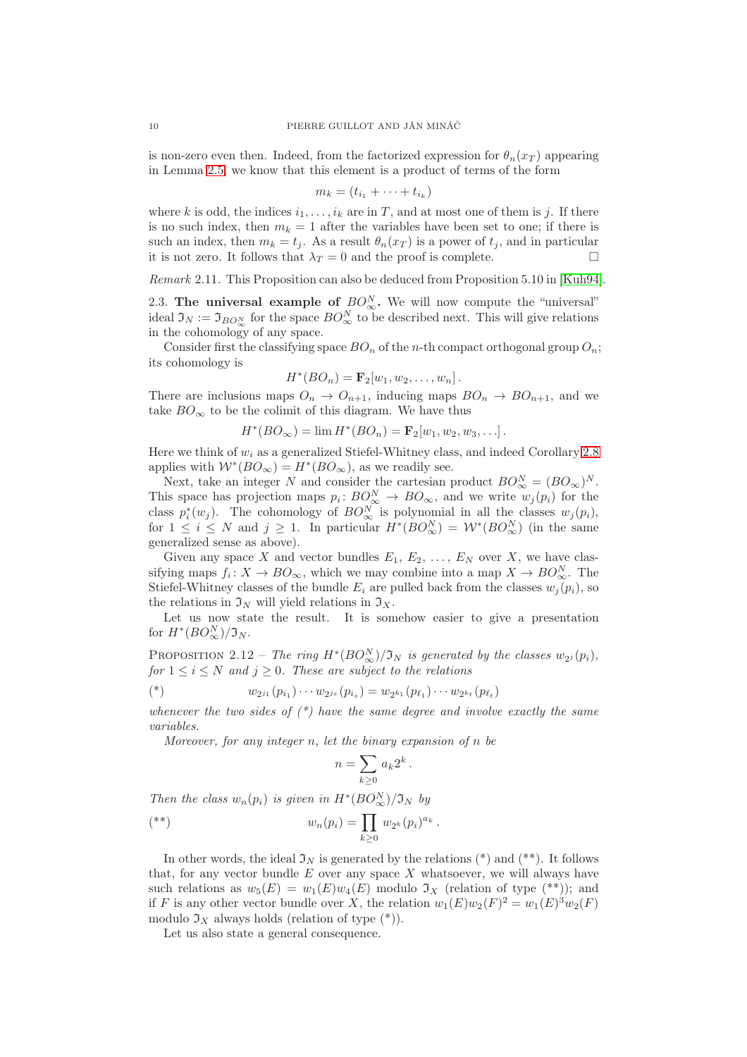is non-zero even then. Indeed, from the factorized expression for  $\theta_n(x_T)$  appearing in Lemma [2.5,](#page-5-0) we know that this element is a product of terms of the form

$$
m_k = (t_{i_1} + \cdots + t_{i_k})
$$

where k is odd, the indices  $i_1, \ldots, i_k$  are in T, and at most one of them is j. If there is no such index, then  $m_k = 1$  after the variables have been set to one; if there is such an index, then  $m_k = t_i$ . As a result  $\theta_n(x_T)$  is a power of  $t_i$ , and in particular it is not zero. It follows that  $\lambda_T = 0$  and the proof is complete.

Remark 2.11. This Proposition can also be deduced from Proposition 5.10 in [\[Kuh94\]](#page-23-5).

2.3. The universal example of  $BO^N_{\infty}$ . We will now compute the "universal" ideal  $\mathfrak{I}_N := \mathfrak{I}_{BO^N_{\infty}}$  for the space  $BO^N_{\infty}$  to be described next. This will give relations in the cohomology of any space.

Consider first the classifying space  $BO_n$  of the n-th compact orthogonal group  $O_n$ ; its cohomology is

$$
H^*(BO_n) = \mathbf{F}_2[w_1, w_2, \dots, w_n].
$$

There are inclusions maps  $O_n \to O_{n+1}$ , inducing maps  $BO_n \to BO_{n+1}$ , and we take  $BO_{\infty}$  to be the colimit of this diagram. We have thus

 $H^*(BO_{\infty}) = \lim H^*(BO_n) = \mathbf{F}_2[w_1, w_2, w_3, \ldots].$ 

Here we think of  $w_i$  as a generalized Stiefel-Whitney class, and indeed Corollary [2.8](#page-7-0) applies with  $W^*(BO_\infty) = H^*(BO_\infty)$ , as we readily see.

Next, take an integer N and consider the cartesian product  $BO^N_{\infty} = (BO_{\infty})^N$ . This space has projection maps  $p_i: BO_{\infty}^N \to BO_{\infty}$ , and we write  $w_j(p_i)$  for the class  $p_i^*(w_j)$ . The cohomology of  $BO^N_{\infty}$  is polynomial in all the classes  $w_j(p_i)$ , for  $1 \leq i \leq N$  and  $j \geq 1$ . In particular  $H^*(BO_{\infty}^N) = \mathcal{W}^*(BO_{\infty}^N)$  (in the same generalized sense as above).

Given any space X and vector bundles  $E_1, E_2, \ldots, E_N$  over X, we have classifying maps  $f_i: X \to BO_{\infty}$ , which we may combine into a map  $X \to BO_{\infty}^N$ . The Stiefel-Whitney classes of the bundle  $E_i$  are pulled back from the classes  $w_j(p_i)$ , so the relations in  $\mathfrak{I}_N$  will yield relations in  $\mathfrak{I}_X$ .

Let us now state the result. It is somehow easier to give a presentation for  $H^*(BO_{\infty}^N)/\mathfrak{I}_N$ .

PROPOSITION 2.12 – The ring  $H^*(BO^N_{\infty})/\mathfrak{I}_N$  is generated by the classes  $w_{2^j}(p_i)$ , for  $1 \leq i \leq N$  and  $j \geq 0$ . These are subject to the relations

(\*) 
$$
w_{2^{j_1}}(p_{i_1})\cdots w_{2^{j_s}}(p_{i_s})=w_{2^{k_1}}(p_{\ell_1})\cdots w_{2^{k_t}}(p_{\ell_t})
$$

whenever the two sides of  $(*)$  have the same degree and involve exactly the same variables.

Moreover, for any integer  $n$ , let the binary expansion of  $n$  be

$$
n=\sum_{k\geq 0} a_k 2^k.
$$

Then the class  $w_n(p_i)$  is given in  $H^*(BO_{\infty}^N)/\mathfrak{I}_N$  by

$$
(*)\qquad w_n(p_i) = \prod_{k \geq 0} w_{2^k}(p_i)^{a_k}.
$$

In other words, the ideal  $\mathfrak{I}_N$  is generated by the relations (\*) and (\*\*). It follows that, for any vector bundle  $E$  over any space  $X$  whatsoever, we will always have such relations as  $w_5(E) = w_1(E)w_4(E)$  modulo  $\mathfrak{I}_X$  (relation of type  $(**)$ ); and if F is any other vector bundle over X, the relation  $w_1(E)w_2(F)^2 = w_1(E)^3w_2(F)$ modulo  $\mathfrak{I}_X$  always holds (relation of type  $(*)$ ).

Let us also state a general consequence.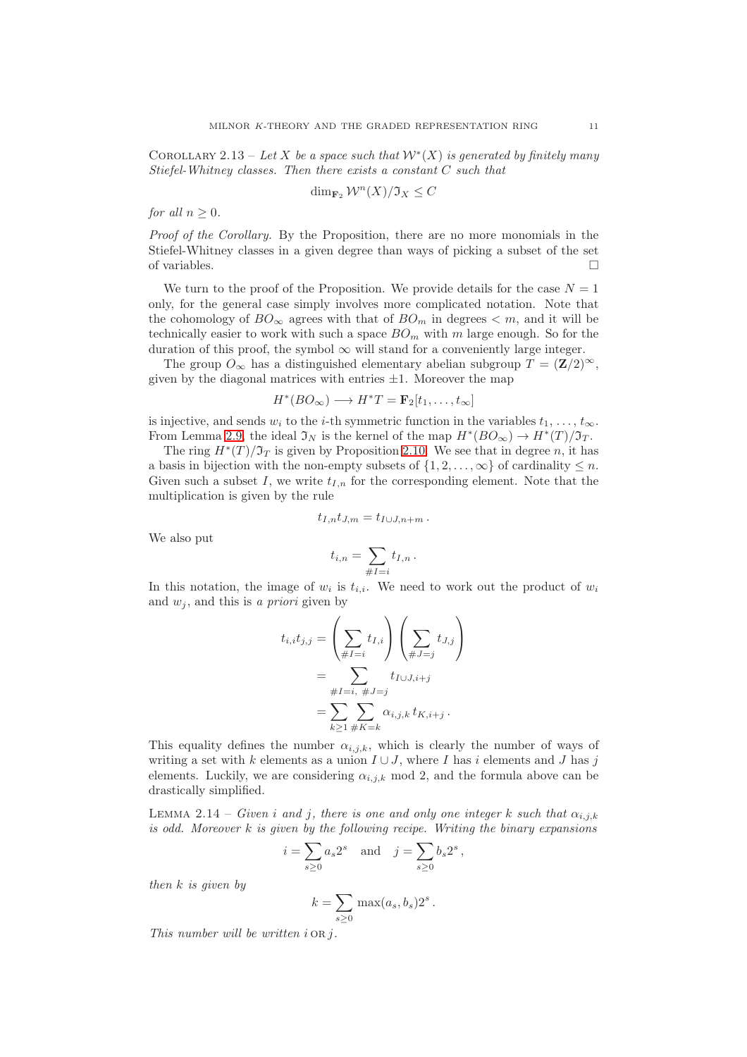<span id="page-10-1"></span>COROLLARY 2.13 – Let X be a space such that  $W^*(X)$  is generated by finitely many Stiefel-Whitney classes. Then there exists a constant C such that

$$
\dim_{\mathbf{F}_2} \mathcal{W}^n(X)/\mathfrak{I}_X \leq C
$$

for all  $n \geq 0$ .

Proof of the Corollary. By the Proposition, there are no more monomials in the Stiefel-Whitney classes in a given degree than ways of picking a subset of the set of variables.  $\Box$ 

We turn to the proof of the Proposition. We provide details for the case  $N = 1$ only, for the general case simply involves more complicated notation. Note that the cohomology of  $BO_{\infty}$  agrees with that of  $BO_m$  in degrees  $\lt m$ , and it will be technically easier to work with such a space  $BO<sub>m</sub>$  with m large enough. So for the duration of this proof, the symbol  $\infty$  will stand for a conveniently large integer.

The group  $O_{\infty}$  has a distinguished elementary abelian subgroup  $T = (\mathbf{Z}/2)^{\infty}$ , given by the diagonal matrices with entries  $\pm 1$ . Moreover the map

$$
H^*(BO_{\infty}) \longrightarrow H^*T = \mathbf{F}_2[t_1, \dots, t_{\infty}]
$$

is injective, and sends  $w_i$  to the *i*-th symmetric function in the variables  $t_1, \ldots, t_{\infty}$ . From Lemma [2.9,](#page-8-0) the ideal  $\mathfrak{I}_N$  is the kernel of the map  $H^*(BO_\infty) \to H^*(T)/\mathfrak{I}_T$ .

The ring  $H^*(T)/\mathfrak{I}_T$  is given by Proposition [2.10.](#page-8-1) We see that in degree n, it has a basis in bijection with the non-empty subsets of  $\{1, 2, \ldots, \infty\}$  of cardinality  $\leq n$ . Given such a subset I, we write  $t_{I,n}$  for the corresponding element. Note that the multiplication is given by the rule

$$
t_{I,n}t_{J,m}=t_{I\cup J,n+m}.
$$

We also put

$$
t_{i,n}=\sum_{\#I=i}t_{I,n}\,.
$$

In this notation, the image of  $w_i$  is  $t_{i,i}$ . We need to work out the product of  $w_i$ and  $w_i$ , and this is a priori given by

$$
t_{i,i}t_{j,j} = \left(\sum_{\#I=i} t_{I,i}\right) \left(\sum_{\#J=j} t_{J,j}\right)
$$
  
= 
$$
\sum_{\#I=i, \#J=j} t_{I\cup J,i+j}
$$
  
= 
$$
\sum_{k\geq 1} \sum_{\#K=k} \alpha_{i,j,k} t_{K,i+j}.
$$

This equality defines the number  $\alpha_{i,j,k}$ , which is clearly the number of ways of writing a set with k elements as a union  $I \cup J$ , where I has i elements and J has j elements. Luckily, we are considering  $\alpha_{i,j,k}$  mod 2, and the formula above can be drastically simplified.

<span id="page-10-0"></span>LEMMA 2.14 – Given i and j, there is one and only one integer k such that  $\alpha_{i,j,k}$ is odd. Moreover  $k$  is given by the following recipe. Writing the binary expansions

$$
i = \sum_{s \ge 0} a_s 2^s
$$
 and  $j = \sum_{s \ge 0} b_s 2^s$ ,

then  $k$  is given by

$$
k = \sum_{s \geq 0} \max(a_s, b_s) 2^s.
$$

This number will be written  $i$  OR  $j$ .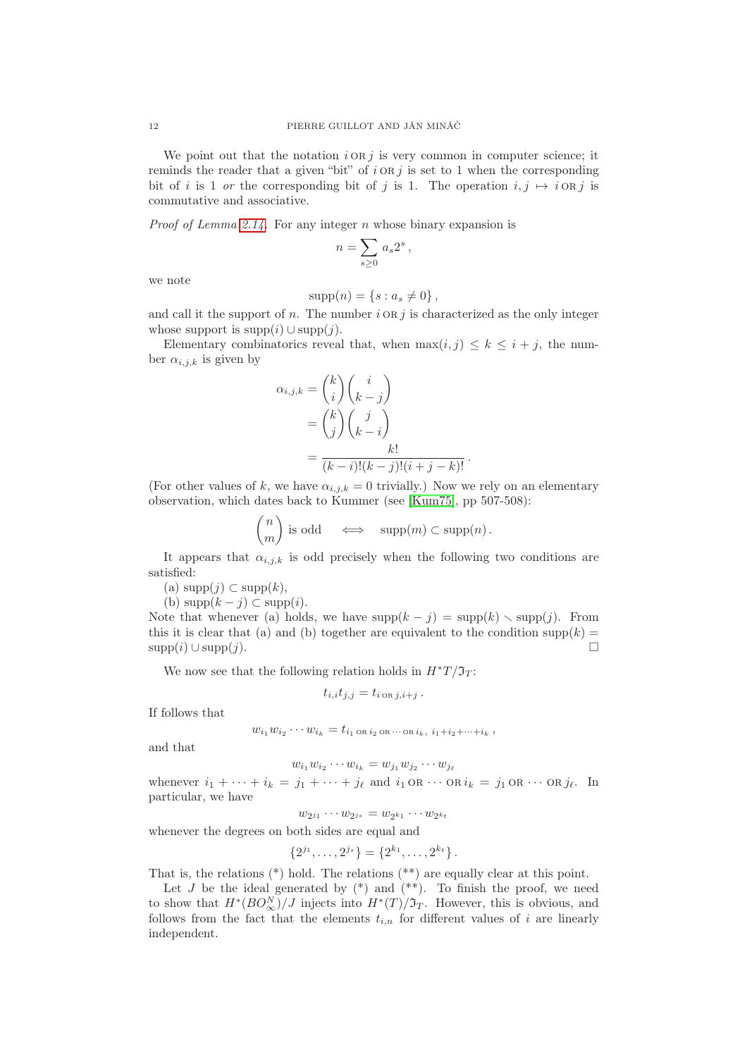We point out that the notation  $i \circ R j$  is very common in computer science; it reminds the reader that a given "bit" of  $i$  or  $j$  is set to 1 when the corresponding bit of i is 1 or the corresponding bit of j is 1. The operation  $i, j \mapsto i$  OR j is commutative and associative.

*Proof of Lemma [2.14.](#page-10-0)* For any integer  $n$  whose binary expansion is

$$
n = \sum_{s \ge 0} a_s 2^s,
$$

we note

$$
supp(n) = \{s : a_s \neq 0\},\,
$$

and call it the support of n. The number  $i \in \mathbb{R}$  is characterized as the only integer whose support is  $supp(i) \cup supp(j)$ .

Elementary combinatorics reveal that, when  $\max(i, j) \leq k \leq i + j$ , the number  $\alpha_{i,j,k}$  is given by

$$
\alpha_{i,j,k} = \binom{k}{i} \binom{i}{k-j}
$$
  
= 
$$
\binom{k}{j} \binom{j}{k-i}
$$
  
= 
$$
\frac{k!}{(k-i)!(k-j)!(i+j-k)!}.
$$

(For other values of k, we have  $\alpha_{i,j,k} = 0$  trivially.) Now we rely on an elementary observation, which dates back to Kummer (see [\[Kum75\]](#page-23-9), pp 507-508):

$$
\binom{n}{m} \text{ is odd} \quad \Longleftrightarrow \quad \text{supp}(m) \subset \text{supp}(n) \, .
$$

It appears that  $\alpha_{i,j,k}$  is odd precisely when the following two conditions are satisfied:

(a)  $supp(j) \subset supp(k)$ ,

(b)  $\text{supp}(k - j) \subset \text{supp}(i)$ .

Note that whenever (a) holds, we have  $supp(k - j) = supp(k) \setminus supp(j)$ . From this it is clear that (a) and (b) together are equivalent to the condition supp $(k)$  =  $\text{supp}(i) \cup \text{supp}(j).$ 

We now see that the following relation holds in  $H^*T/\mathfrak{I}_T$ :

$$
t_{i,i}t_{j,j}=t_{i\text{ or }j,i+j}.
$$

If follows that

$$
w_{i_1} w_{i_2} \cdots w_{i_k} = t_{i_1 \text{ or } i_2 \text{ or } \cdots \text{ or } i_k, i_1 + i_2 + \cdots + i_k},
$$

and that

$$
w_{i_1}w_{i_2}\cdots w_{i_k}=w_{j_1}w_{j_2}\cdots w_{j_\ell}
$$

whenever  $i_1 + \cdots + i_k = j_1 + \cdots + j_\ell$  and  $i_1 \text{ OR } \cdots \text{ OR } i_k = j_1 \text{ OR } \cdots \text{ OR } j_\ell$ . In particular, we have

 $w_{2^{j_1}} \cdots w_{2^{j_s}} = w_{2^{k_1}} \cdots w_{2^{k_t}}$ 

whenever the degrees on both sides are equal and

{2

$$
2^{j_1}, \ldots, 2^{j_s} = \{2^{k_1}, \ldots, 2^{k_t}\}.
$$

That is, the relations (\*) hold. The relations (\*\*) are equally clear at this point.

Let  $J$  be the ideal generated by  $(*)$  and  $(**)$ . To finish the proof, we need to show that  $H^*(BO^N_{\infty})/J$  injects into  $H^*(T)/\mathfrak{I}_T$ . However, this is obvious, and follows from the fact that the elements  $t_{i,n}$  for different values of i are linearly independent.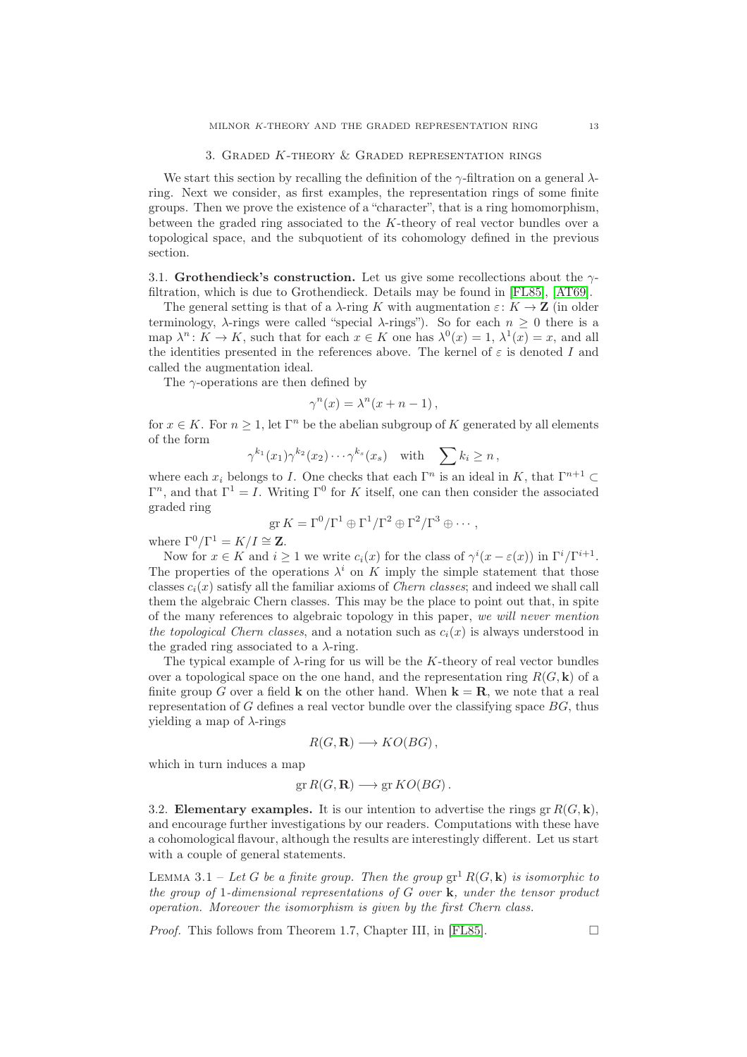# 3. Graded K-theory & Graded representation rings

<span id="page-12-0"></span>We start this section by recalling the definition of the  $\gamma$ -filtration on a general  $\lambda$ ring. Next we consider, as first examples, the representation rings of some finite groups. Then we prove the existence of a "character", that is a ring homomorphism, between the graded ring associated to the K-theory of real vector bundles over a topological space, and the subquotient of its cohomology defined in the previous section.

3.1. Grothendieck's construction. Let us give some recollections about the  $\gamma$ filtration, which is due to Grothendieck. Details may be found in [\[FL85\]](#page-23-2), [\[AT69\]](#page-23-1).

The general setting is that of a  $\lambda$ -ring K with augmentation  $\varepsilon: K \to \mathbf{Z}$  (in older terminology,  $\lambda$ -rings were called "special  $\lambda$ -rings"). So for each  $n \geq 0$  there is a map  $\lambda^n: K \to K$ , such that for each  $x \in K$  one has  $\lambda^0(x) = 1$ ,  $\lambda^1(x) = x$ , and all the identities presented in the references above. The kernel of  $\varepsilon$  is denoted I and called the augmentation ideal.

The  $\gamma$ -operations are then defined by

$$
\gamma^{n}(x) = \lambda^{n}(x + n - 1),
$$

for  $x \in K$ . For  $n \geq 1$ , let  $\Gamma^n$  be the abelian subgroup of K generated by all elements of the form

 $\gamma^{k_1}(x_1)\gamma^{k_2}(x_2)\cdots \gamma^{k_s}(x_s)$  with  $\sum k_i \geq n$ ,

where each  $x_i$  belongs to I. One checks that each  $\Gamma^n$  is an ideal in K, that  $\Gamma^{n+1} \subset$  $\Gamma^n$ , and that  $\Gamma^1 = I$ . Writing  $\Gamma^0$  for K itself, one can then consider the associated graded ring

$$
\operatorname{gr} K = \Gamma^0 / \Gamma^1 \oplus \Gamma^1 / \Gamma^2 \oplus \Gamma^2 / \Gamma^3 \oplus \cdots,
$$

where  $\Gamma^0/\Gamma^1 = K/I \cong \mathbf{Z}$ .

Now for  $x \in K$  and  $i \ge 1$  we write  $c_i(x)$  for the class of  $\gamma^i(x - \varepsilon(x))$  in  $\Gamma^i/\Gamma^{i+1}$ . The properties of the operations  $\lambda^i$  on K imply the simple statement that those classes  $c_i(x)$  satisfy all the familiar axioms of *Chern classes*; and indeed we shall call them the algebraic Chern classes. This may be the place to point out that, in spite of the many references to algebraic topology in this paper, we will never mention the topological Chern classes, and a notation such as  $c_i(x)$  is always understood in the graded ring associated to a  $\lambda$ -ring.

The typical example of  $\lambda$ -ring for us will be the K-theory of real vector bundles over a topological space on the one hand, and the representation ring  $R(G, \mathbf{k})$  of a finite group G over a field **k** on the other hand. When  $\mathbf{k} = \mathbf{R}$ , we note that a real representation of  $G$  defines a real vector bundle over the classifying space  $BG$ , thus yielding a map of  $\lambda$ -rings

$$
R(G, \mathbf{R}) \longrightarrow KO(BG),
$$

which in turn induces a map

$$
\operatorname{gr} R(G,\mathbf{R}) \longrightarrow \operatorname{gr} KO(BG).
$$

3.2. Elementary examples. It is our intention to advertise the rings  $gr R(G, \mathbf{k}),$ and encourage further investigations by our readers. Computations with these have a cohomological flavour, although the results are interestingly different. Let us start with a couple of general statements.

<span id="page-12-1"></span>LEMMA 3.1 – Let G be a finite group. Then the group  $\operatorname{gr}^1 R(G, \mathbf{k})$  is isomorphic to the group of 1-dimensional representations of  $G$  over  $\bf{k}$ , under the tensor product operation. Moreover the isomorphism is given by the first Chern class.

*Proof.* This follows from Theorem 1.7, Chapter III, in [\[FL85\]](#page-23-2).  $\Box$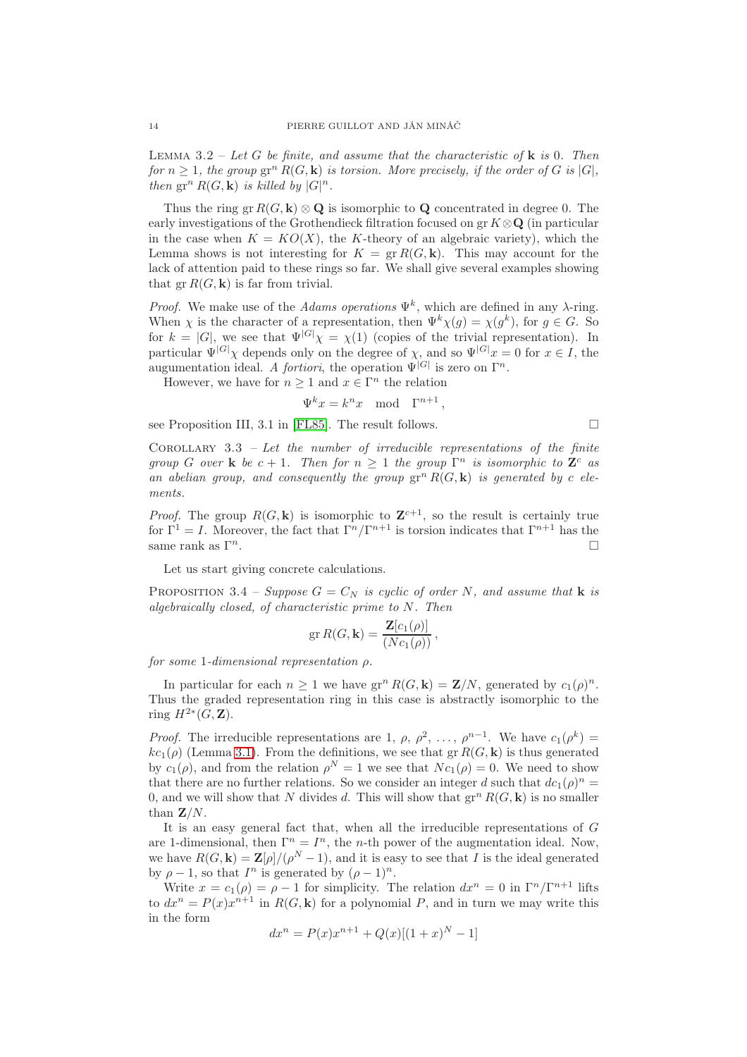<span id="page-13-0"></span>LEMMA 3.2 – Let G be finite, and assume that the characteristic of  $\bf{k}$  is 0. Then for  $n \geq 1$ , the group  $gr^n R(G, \mathbf{k})$  is torsion. More precisely, if the order of G is  $|G|$ , then  $gr^n R(G, \mathbf{k})$  is killed by  $|G|^n$ .

Thus the ring gr  $R(G, \mathbf{k}) \otimes \mathbf{Q}$  is isomorphic to  $\mathbf{Q}$  concentrated in degree 0. The early investigations of the Grothendieck filtration focused on gr  $K \otimes \mathbf{Q}$  (in particular in the case when  $K = KO(X)$ , the K-theory of an algebraic variety), which the Lemma shows is not interesting for  $K = \text{gr } R(G, \mathbf{k})$ . This may account for the lack of attention paid to these rings so far. We shall give several examples showing that  $gr R(G, \mathbf{k})$  is far from trivial.

*Proof.* We make use of the *Adams operations*  $\Psi^k$ , which are defined in any  $\lambda$ -ring. When  $\chi$  is the character of a representation, then  $\Psi^k \chi(g) = \chi(g^k)$ , for  $g \in G$ . So for  $k = |G|$ , we see that  $\Psi^{|G|} \chi = \chi(1)$  (copies of the trivial representation). In particular  $\Psi^{[G]}\chi$  depends only on the degree of  $\chi$ , and so  $\Psi^{[G]}x = 0$  for  $x \in I$ , the augumentation ideal. A *fortiori*, the operation  $\Psi^{|G|}$  is zero on  $\Gamma^n$ .

However, we have for  $n \geq 1$  and  $x \in \Gamma^n$  the relation

$$
\Psi^k x = k^n x \mod \Gamma^{n+1},
$$

see Proposition III, 3.1 in [\[FL85\]](#page-23-2). The result follows.

<span id="page-13-1"></span>COROLLARY  $3.3$  – Let the number of irreducible representations of the finite group G over **k** be  $c + 1$ . Then for  $n \geq 1$  the group  $\Gamma^n$  is isomorphic to  $\mathbb{Z}^c$  as an abelian group, and consequently the group  $gr^n R(G, \mathbf{k})$  is generated by c elements.

*Proof.* The group  $R(G, \mathbf{k})$  is isomorphic to  $\mathbf{Z}^{c+1}$ , so the result is certainly true for  $\Gamma^1 = I$ . Moreover, the fact that  $\Gamma^n / \Gamma^{n+1}$  is torsion indicates that  $\Gamma^{n+1}$  has the same rank as  $\Gamma^n$ .  $n$ .

Let us start giving concrete calculations.

<span id="page-13-2"></span>PROPOSITION 3.4 – Suppose  $G = C_N$  is cyclic of order N, and assume that **k** is algebraically closed, of characteristic prime to N. Then

$$
\operatorname{gr} R(G, \mathbf{k}) = \frac{\mathbf{Z}[c_1(\rho)]}{(Nc_1(\rho))},
$$

for some 1-dimensional representation  $\rho$ .

In particular for each  $n \geq 1$  we have  $gr^n R(G, \mathbf{k}) = \mathbf{Z}/N$ , generated by  $c_1(\rho)^n$ . Thus the graded representation ring in this case is abstractly isomorphic to the ring  $H^{2*}(G, \mathbf{Z})$ .

*Proof.* The irreducible representations are 1,  $\rho$ ,  $\rho^2$ , ...,  $\rho^{n-1}$ . We have  $c_1(\rho^k)$  =  $kc_1(\rho)$  (Lemma [3.1\)](#page-12-1). From the definitions, we see that gr  $R(G, \mathbf{k})$  is thus generated by  $c_1(\rho)$ , and from the relation  $\rho^N = 1$  we see that  $N c_1(\rho) = 0$ . We need to show that there are no further relations. So we consider an integer d such that  $dc_1(\rho)^n =$ 0, and we will show that N divides d. This will show that  $gr^n R(G, \mathbf{k})$  is no smaller than  $\mathbf{Z}/N$ .

It is an easy general fact that, when all the irreducible representations of G are 1-dimensional, then  $\Gamma^n = I^n$ , the *n*-th power of the augmentation ideal. Now, we have  $R(G, \mathbf{k}) = \mathbf{Z}[\rho]/(\rho^N - 1)$ , and it is easy to see that I is the ideal generated by  $\rho - 1$ , so that  $I^n$  is generated by  $(\rho - 1)^n$ .

Write  $x = c_1(\rho) = \rho - 1$  for simplicity. The relation  $dx^n = 0$  in  $\Gamma^n/\Gamma^{n+1}$  lifts to  $dx^n = P(x)x^{n+1}$  in  $R(G, \mathbf{k})$  for a polynomial P, and in turn we may write this in the form

$$
dx^{n} = P(x)x^{n+1} + Q(x)[(1+x)^{N} - 1]
$$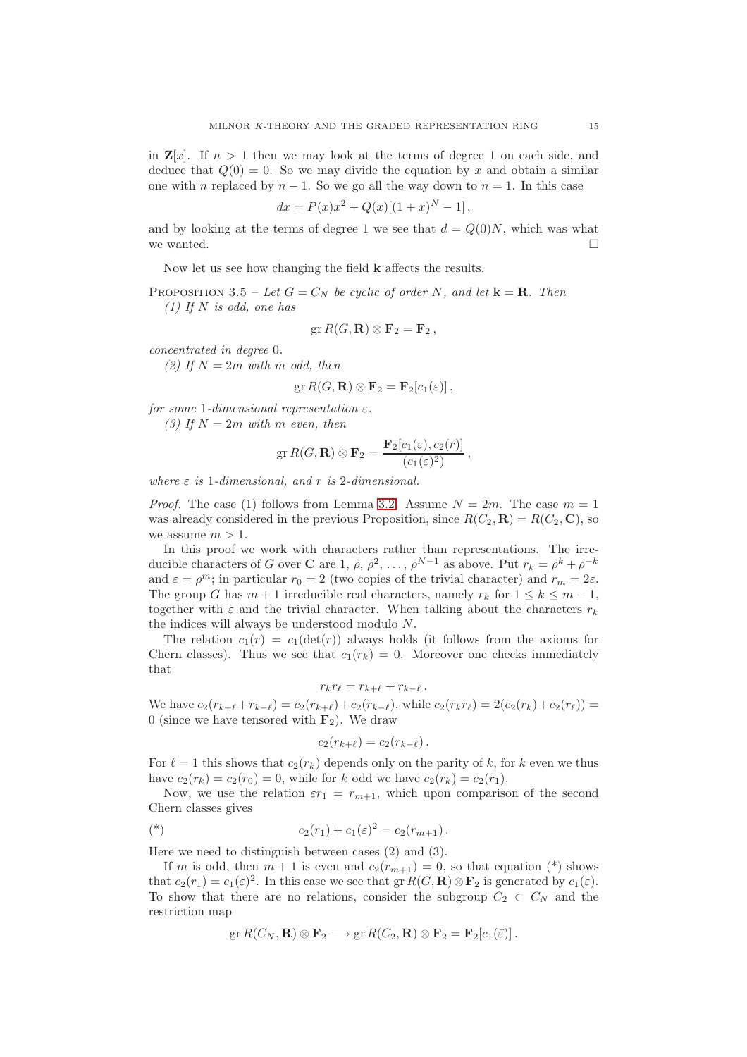in  $\mathbb{Z}[x]$ . If  $n > 1$  then we may look at the terms of degree 1 on each side, and deduce that  $Q(0) = 0$ . So we may divide the equation by x and obtain a similar one with n replaced by  $n-1$ . So we go all the way down to  $n=1$ . In this case

$$
dx = P(x)x^{2} + Q(x)[(1+x)^{N} - 1],
$$

and by looking at the terms of degree 1 we see that  $d = Q(0)N$ , which was what we wanted.  $\square$ 

Now let us see how changing the field k affects the results.

<span id="page-14-0"></span>PROPOSITION 3.5 – Let  $G = C_N$  be cyclic of order N, and let  $\mathbf{k} = \mathbf{R}$ . Then  $(1)$  If N is odd, one has

$$
\operatorname{gr} R(G,\mathbf{R}) \otimes \mathbf{F}_2 = \mathbf{F}_2,
$$

concentrated in degree 0.

(2) If  $N = 2m$  with m odd, then

$$
\operatorname{gr} R(G,\mathbf{R}) \otimes \mathbf{F}_2 = \mathbf{F}_2[c_1(\varepsilon)],
$$

for some 1-dimensional representation  $\varepsilon$ .

(3) If  $N = 2m$  with m even, then

$$
\operatorname{gr} R(G,\mathbf{R}) \otimes \mathbf{F}_2 = \frac{\mathbf{F}_2[c_1(\varepsilon),c_2(r)]}{(c_1(\varepsilon)^2)},
$$

where  $\varepsilon$  is 1-dimensional, and r is 2-dimensional.

*Proof.* The case (1) follows from Lemma [3.2.](#page-13-0) Assume  $N = 2m$ . The case  $m = 1$ was already considered in the previous Proposition, since  $R(C_2, \mathbf{R}) = R(C_2, \mathbf{C})$ , so we assume  $m > 1$ .

In this proof we work with characters rather than representations. The irreducible characters of G over C are 1,  $\rho$ ,  $\rho^2$ , ...,  $\rho^{N-1}$  as above. Put  $r_k = \rho^k + \rho^{-k}$ and  $\varepsilon = \rho^m$ ; in particular  $r_0 = 2$  (two copies of the trivial character) and  $r_m = 2\varepsilon$ . The group G has  $m + 1$  irreducible real characters, namely  $r_k$  for  $1 \leq k \leq m - 1$ , together with  $\varepsilon$  and the trivial character. When talking about the characters  $r_k$ the indices will always be understood modulo N.

The relation  $c_1(r) = c_1(\det(r))$  always holds (it follows from the axioms for Chern classes). Thus we see that  $c_1(r_k) = 0$ . Moreover one checks immediately that

$$
r_kr_\ell=r_{k+\ell}+r_{k-\ell}.
$$

We have  $c_2(r_{k+\ell} + r_{k-\ell}) = c_2(r_{k+\ell}) + c_2(r_{k-\ell})$ , while  $c_2(r_kr_\ell) = 2(c_2(r_k) + c_2(r_\ell))$ 0 (since we have tensored with  $\mathbf{F}_2$ ). We draw

$$
c_2(r_{k+\ell})=c_2(r_{k-\ell}).
$$

For  $\ell = 1$  this shows that  $c_2(r_k)$  depends only on the parity of k; for k even we thus have  $c_2(r_k) = c_2(r_0) = 0$ , while for k odd we have  $c_2(r_k) = c_2(r_1)$ .

Now, we use the relation  $\varepsilon r_1 = r_{m+1}$ , which upon comparison of the second Chern classes gives

(\*) 
$$
c_2(r_1) + c_1(\varepsilon)^2 = c_2(r_{m+1}).
$$

Here we need to distinguish between cases (2) and (3).

If m is odd, then  $m + 1$  is even and  $c_2(r_{m+1}) = 0$ , so that equation (\*) shows that  $c_2(r_1) = c_1(\varepsilon)^2$ . In this case we see that  $gr R(G, \mathbf{R}) \otimes \mathbf{F}_2$  is generated by  $c_1(\varepsilon)$ . To show that there are no relations, consider the subgroup  $C_2 \subset C_N$  and the restriction map

$$
\operatorname{gr} R(C_N,\mathbf{R})\otimes \mathbf{F}_2\longrightarrow \operatorname{gr} R(C_2,\mathbf{R})\otimes \mathbf{F}_2=\mathbf{F}_2[c_1(\bar{\varepsilon})].
$$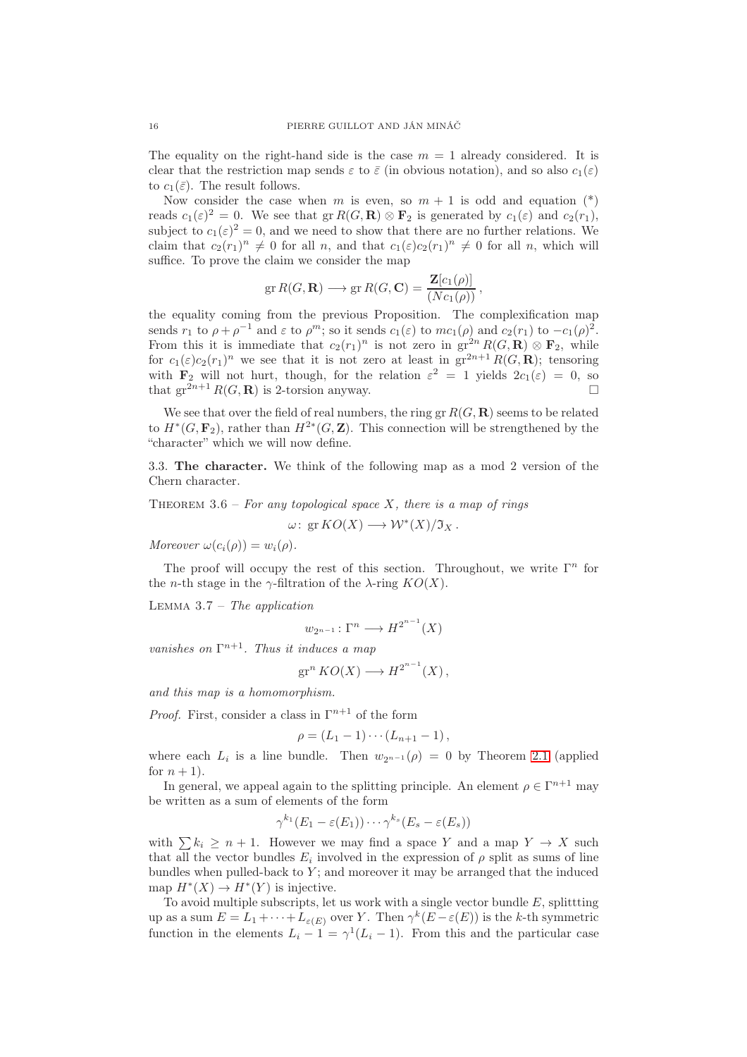The equality on the right-hand side is the case  $m = 1$  already considered. It is clear that the restriction map sends  $\varepsilon$  to  $\overline{\varepsilon}$  (in obvious notation), and so also  $c_1(\varepsilon)$ to  $c_1(\bar{\varepsilon})$ . The result follows.

Now consider the case when m is even, so  $m + 1$  is odd and equation  $(*)$ reads  $c_1(\varepsilon)^2 = 0$ . We see that  $gr R(G, \mathbf{R}) \otimes \mathbf{F}_2$  is generated by  $c_1(\varepsilon)$  and  $c_2(r_1)$ , subject to  $c_1(\varepsilon)^2 = 0$ , and we need to show that there are no further relations. We claim that  $c_2(r_1)^n \neq 0$  for all n, and that  $c_1(\varepsilon)c_2(r_1)^n \neq 0$  for all n, which will suffice. To prove the claim we consider the map

$$
\operatorname{gr} R(G, \mathbf{R}) \longrightarrow \operatorname{gr} R(G, \mathbf{C}) = \frac{\mathbf{Z}[c_1(\rho)]}{(Nc_1(\rho))},
$$

the equality coming from the previous Proposition. The complexification map sends  $r_1$  to  $\rho + \rho^{-1}$  and  $\varepsilon$  to  $\rho^m$ ; so it sends  $c_1(\varepsilon)$  to  $mc_1(\rho)$  and  $c_2(r_1)$  to  $-c_1(\rho)^2$ . From this it is immediate that  $c_2(r_1)^n$  is not zero in  $gr^{2n} R(G, \mathbf{R}) \otimes \mathbf{F}_2$ , while for  $c_1(\varepsilon)c_2(r_1)^n$  we see that it is not zero at least in  $gr^{2n+1}R(G,\mathbf{R})$ ; tensoring with  $\mathbf{F}_2$  will not hurt, though, for the relation  $\varepsilon^2 = 1$  yields  $2c_1(\varepsilon) = 0$ , so that  $\operatorname{gr}^{2n+1} R(G, \mathbf{R})$  is 2-torsion anyway.

We see that over the field of real numbers, the ring gr  $R(G, \mathbf{R})$  seems to be related to  $H^*(G, \mathbf{F}_2)$ , rather than  $H^{2*}(G, \mathbf{Z})$ . This connection will be strengthened by the "character" which we will now define.

3.3. The character. We think of the following map as a mod 2 version of the Chern character.

# <span id="page-15-0"></span>THEOREM  $3.6$  – For any topological space X, there is a map of rings

 $\omega: \operatorname{gr} KO(X) \longrightarrow \mathcal{W}^*(X)/\mathfrak{I}_X$ .

Moreover  $\omega(c_i(\rho)) = w_i(\rho)$ .

The proof will occupy the rest of this section. Throughout, we write  $\Gamma^n$  for the *n*-th stage in the  $\gamma$ -filtration of the  $\lambda$ -ring  $KO(X)$ .

<span id="page-15-1"></span>LEMMA  $3.7$  – The application

$$
w_{2^{n-1}}\colon \Gamma^n\longrightarrow H^{2^{n-1}}(X)
$$

vanishes on  $\Gamma^{n+1}$ . Thus it induces a map

$$
\operatorname{gr}^n KO(X) \longrightarrow H^{2^{n-1}}(X),
$$

and this map is a homomorphism.

*Proof.* First, consider a class in  $\Gamma^{n+1}$  of the form

$$
\rho = (L_1 - 1) \cdots (L_{n+1} - 1),
$$

where each  $L_i$  is a line bundle. Then  $w_{2^{n-1}}(\rho) = 0$  by Theorem [2.1](#page-4-0) (applied for  $n+1$ ).

In general, we appeal again to the splitting principle. An element  $\rho \in \Gamma^{n+1}$  may be written as a sum of elements of the form

$$
\gamma^{k_1}(E_1-\varepsilon(E_1))\cdots\gamma^{k_s}(E_s-\varepsilon(E_s))
$$

with  $\sum k_i \geq n+1$ . However we may find a space Y and a map  $Y \to X$  such that all the vector bundles  $E_i$  involved in the expression of  $\rho$  split as sums of line bundles when pulled-back to  $Y$ ; and moreover it may be arranged that the induced map  $H^*(X) \to H^*(Y)$  is injective.

To avoid multiple subscripts, let us work with a single vector bundle  $E$ , splittting up as a sum  $E = L_1 + \cdots + L_{\varepsilon(E)}$  over Y. Then  $\gamma^k(E - \varepsilon(E))$  is the k-th symmetric function in the elements  $L_i - 1 = \gamma^1 (L_i - 1)$ . From this and the particular case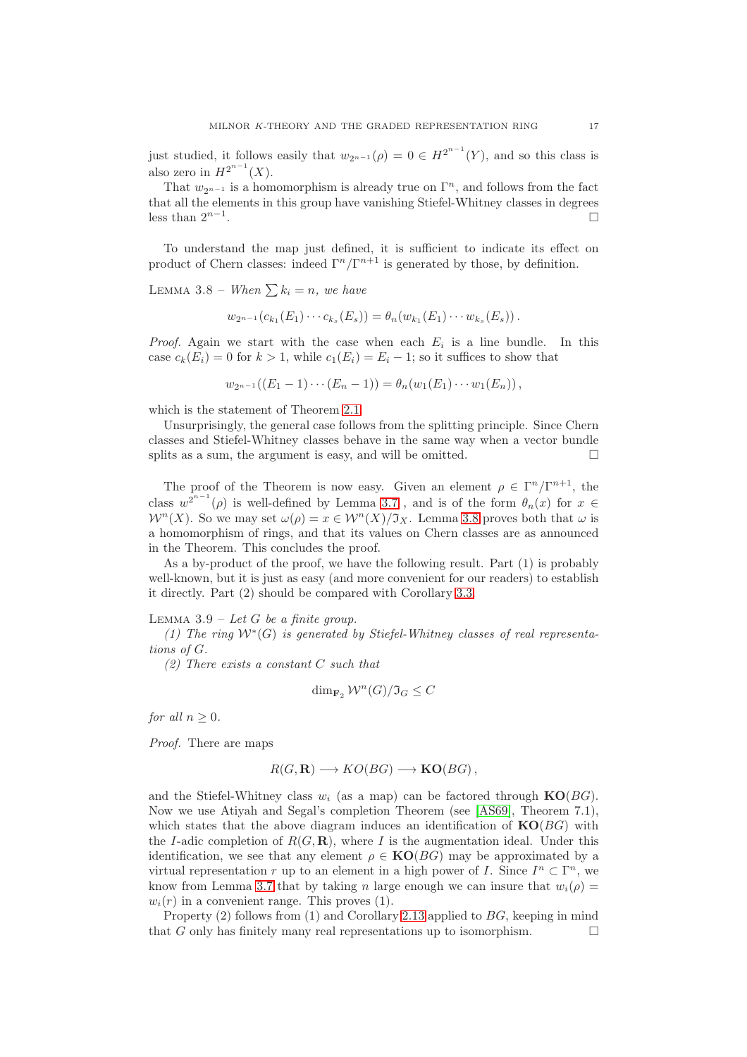just studied, it follows easily that  $w_{2n-1}(\rho) = 0 \in H^{2^{n-1}}(Y)$ , and so this class is also zero in  $H^{2^{n-1}}(X)$ .

That  $w_{2^{n-1}}$  is a homomorphism is already true on  $\Gamma^n$ , and follows from the fact that all the elements in this group have vanishing Stiefel-Whitney classes in degrees less than  $2^{n-1}$ .

To understand the map just defined, it is sufficient to indicate its effect on product of Chern classes: indeed  $\Gamma^n/\Gamma^{n+1}$  is generated by those, by definition.

<span id="page-16-1"></span>LEMMA 3.8 – When  $\sum k_i = n$ , we have

$$
w_{2^{n-1}}(c_{k_1}(E_1)\cdots c_{k_s}(E_s))=\theta_n(w_{k_1}(E_1)\cdots w_{k_s}(E_s)).
$$

*Proof.* Again we start with the case when each  $E_i$  is a line bundle. In this case  $c_k(E_i) = 0$  for  $k > 1$ , while  $c_1(E_i) = E_i - 1$ ; so it suffices to show that

$$
w_{2^{n-1}}((E_1-1)\cdots (E_n-1))=\theta_n(w_1(E_1)\cdots w_1(E_n)),
$$

which is the statement of Theorem [2.1.](#page-4-0)

Unsurprisingly, the general case follows from the splitting principle. Since Chern classes and Stiefel-Whitney classes behave in the same way when a vector bundle splits as a sum, the argument is easy, and will be omitted.  $\square$ 

The proof of the Theorem is now easy. Given an element  $\rho \in \Gamma^n/\Gamma^{n+1}$ , the class  $w^{2^{n-1}}(\rho)$  is well-defined by Lemma [3.7](#page-15-1), and is of the form  $\theta_n(x)$  for  $x \in$  $W^{n}(X)$ . So we may set  $\omega(\rho) = x \in W^{n}(X)/\mathfrak{I}_{X}$ . Lemma [3.8](#page-16-1) proves both that  $\omega$  is a homomorphism of rings, and that its values on Chern classes are as announced in the Theorem. This concludes the proof.

As a by-product of the proof, we have the following result. Part (1) is probably well-known, but it is just as easy (and more convenient for our readers) to establish it directly. Part (2) should be compared with Corollary [3.3.](#page-13-1)

<span id="page-16-0"></span>LEMMA  $3.9$  – Let G be a finite group.

(1) The ring  $W^*(G)$  is generated by Stiefel-Whitney classes of real representations of G.

(2) There exists a constant C such that

$$
\dim_{\mathbf{F}_2} \mathcal{W}^n(G)/\mathfrak{I}_G \leq C
$$

for all  $n > 0$ .

Proof. There are maps

$$
R(G, \mathbf{R}) \longrightarrow KO(BG) \longrightarrow \mathbf{KO}(BG),
$$

and the Stiefel-Whitney class  $w_i$  (as a map) can be factored through  $KO(BG)$ . Now we use Atiyah and Segal's completion Theorem (see [\[AS69\]](#page-23-10), Theorem 7.1), which states that the above diagram induces an identification of  $KO(BG)$  with the I-adic completion of  $R(G, \mathbf{R})$ , where I is the augmentation ideal. Under this identification, we see that any element  $\rho \in KO(BG)$  may be approximated by a virtual representation r up to an element in a high power of I. Since  $I^n \subset \Gamma^n$ , we know from Lemma [3.7](#page-15-1) that by taking n large enough we can insure that  $w_i(\rho)$  =  $w_i(r)$  in a convenient range. This proves (1).

Property  $(2)$  follows from  $(1)$  and Corollary [2.13](#page-10-1) applied to  $BG$ , keeping in mind that G only has finitely many real representations up to isomorphism.  $\Box$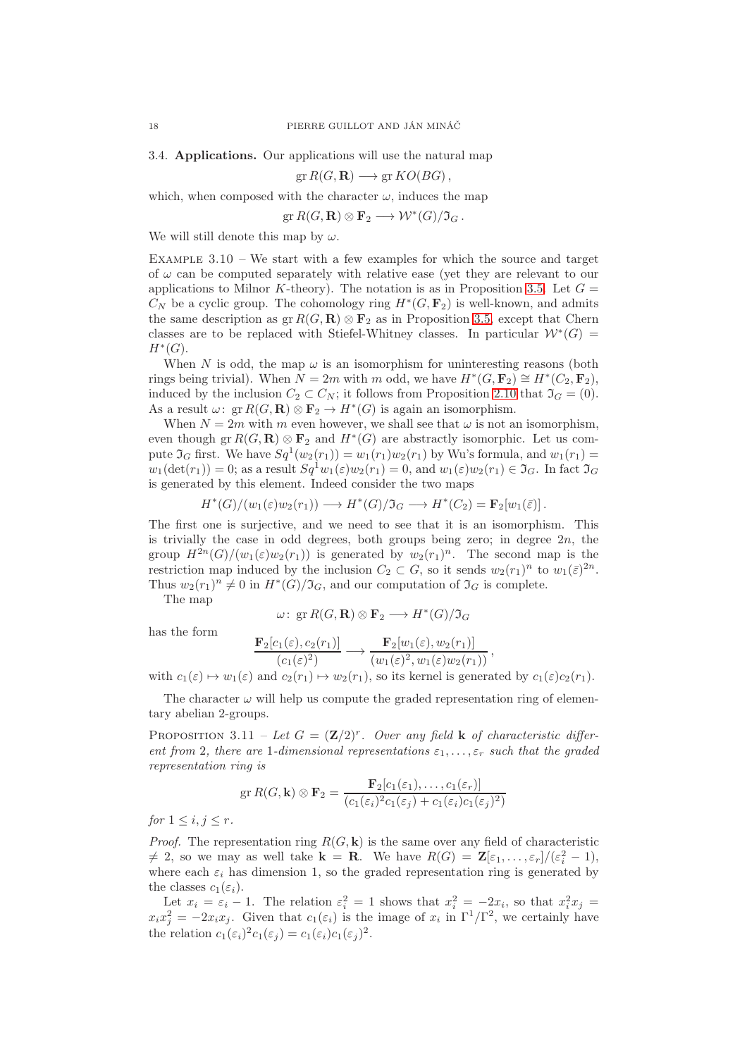3.4. Applications. Our applications will use the natural map

$$
\operatorname{gr} R(G, \mathbf{R}) \longrightarrow \operatorname{gr} KO(BG),
$$

which, when composed with the character  $\omega$ , induces the map

 $gr R(G, \mathbf{R}) \otimes \mathbf{F}_2 \longrightarrow \mathcal{W}^*(G)/\mathfrak{I}_G$ .

We will still denote this map by  $\omega$ .

<span id="page-17-0"></span>EXAMPLE  $3.10$  – We start with a few examples for which the source and target of  $\omega$  can be computed separately with relative ease (yet they are relevant to our applications to Milnor K-theory). The notation is as in Proposition [3.5.](#page-14-0) Let  $G =$  $C_N$  be a cyclic group. The cohomology ring  $H^*(G, \mathbf{F}_2)$  is well-known, and admits the same description as  $gr R(G, \mathbf{R}) \otimes \mathbf{F}_2$  as in Proposition [3.5,](#page-14-0) except that Chern classes are to be replaced with Stiefel-Whitney classes. In particular  $W^*(G)$  =  $H^*(G)$ .

When N is odd, the map  $\omega$  is an isomorphism for uninteresting reasons (both rings being trivial). When  $N = 2m$  with m odd, we have  $H^*(G, \mathbf{F}_2) \cong H^*(C_2, \mathbf{F}_2)$ , induced by the inclusion  $C_2 \subset C_N$ ; it follows from Proposition [2.10](#page-8-1) that  $\mathfrak{I}_G = (0)$ . As a result  $\omega: \operatorname{gr} R(G, \mathbf{R}) \otimes \mathbf{F}_2 \to H^*(G)$  is again an isomorphism.

When  $N = 2m$  with m even however, we shall see that  $\omega$  is not an isomorphism, even though  $gr R(G, \mathbf{R}) \otimes \mathbf{F}_2$  and  $H^*(G)$  are abstractly isomorphic. Let us compute  $\mathfrak{I}_G$  first. We have  $Sq^1(w_2(r_1)) = w_1(r_1)w_2(r_1)$  by Wu's formula, and  $w_1(r_1) =$  $w_1(\det(r_1)) = 0$ ; as a result  $Sq^1w_1(\varepsilon)w_2(r_1) = 0$ , and  $w_1(\varepsilon)w_2(r_1) \in \mathfrak{I}_G$ . In fact  $\mathfrak{I}_G$ is generated by this element. Indeed consider the two maps

$$
H^*(G)/(w_1(\varepsilon)w_2(r_1)) \longrightarrow H^*(G)/\mathfrak{I}_G \longrightarrow H^*(C_2) = \mathbf{F}_2[w_1(\overline{\varepsilon})].
$$

The first one is surjective, and we need to see that it is an isomorphism. This is trivially the case in odd degrees, both groups being zero; in degree  $2n$ , the group  $H^{2n}(G)/(w_1(\varepsilon)w_2(r_1))$  is generated by  $w_2(r_1)^n$ . The second map is the restriction map induced by the inclusion  $C_2 \subset G$ , so it sends  $w_2(r_1)^n$  to  $w_1(\bar{\varepsilon})^{2n}$ . Thus  $w_2(r_1)^n \neq 0$  in  $H^*(G)/\mathfrak{I}_G$ , and our computation of  $\mathfrak{I}_G$  is complete.

The map

$$
\omega\colon \operatorname{gr} R(G,\mathbf{R})\otimes \mathbf{F}_2\longrightarrow H^*(G)/\mathfrak{I}_G
$$

has the form

$$
\frac{\mathbf{F}_2[c_1(\varepsilon), c_2(r_1)]}{(c_1(\varepsilon)^2)} \longrightarrow \frac{\mathbf{F}_2[w_1(\varepsilon), w_2(r_1)]}{(w_1(\varepsilon)^2, w_1(\varepsilon)w_2(r_1))},
$$

with  $c_1(\varepsilon) \mapsto w_1(\varepsilon)$  and  $c_2(r_1) \mapsto w_2(r_1)$ , so its kernel is generated by  $c_1(\varepsilon)c_2(r_1)$ .

The character  $\omega$  will help us compute the graded representation ring of elementary abelian 2-groups.

PROPOSITION 3.11 – Let  $G = (\mathbf{Z}/2)^r$ . Over any field **k** of characteristic different from 2, there are 1-dimensional representations  $\varepsilon_1, \ldots, \varepsilon_r$  such that the graded representation ring is

$$
\operatorname{gr} R(G, \mathbf{k}) \otimes \mathbf{F}_2 = \frac{\mathbf{F}_2[c_1(\varepsilon_1), \dots, c_1(\varepsilon_r)]}{(c_1(\varepsilon_i)^2 c_1(\varepsilon_j) + c_1(\varepsilon_i) c_1(\varepsilon_j)^2)}
$$

for  $1 \leq i, j \leq r$ .

*Proof.* The representation ring  $R(G, \mathbf{k})$  is the same over any field of characteristic  $\neq$  2, so we may as well take  $\mathbf{k} = \mathbf{R}$ . We have  $R(G) = \mathbf{Z}[\varepsilon_1, \ldots, \varepsilon_r]/(\varepsilon_i^2 - 1)$ , where each  $\varepsilon_i$  has dimension 1, so the graded representation ring is generated by the classes  $c_1(\varepsilon_i)$ .

Let  $x_i = \varepsilon_i - 1$ . The relation  $\varepsilon_i^2 = 1$  shows that  $x_i^2 = -2x_i$ , so that  $x_i^2 x_j =$  $x_i x_j^2 = -2x_i x_j$ . Given that  $c_1(\varepsilon_i)$  is the image of  $x_i$  in  $\Gamma^1/\Gamma^2$ , we certainly have the relation  $c_1(\varepsilon_i)^2 c_1(\varepsilon_j) = c_1(\varepsilon_i) c_1(\varepsilon_j)^2$ .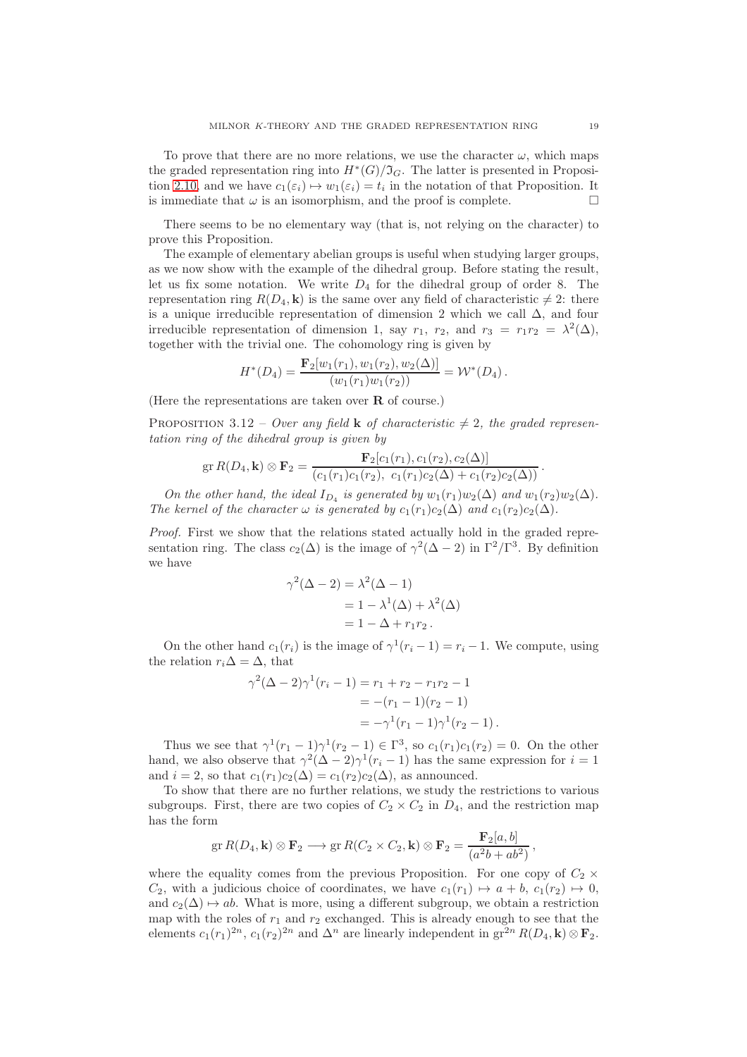To prove that there are no more relations, we use the character  $\omega$ , which maps the graded representation ring into  $H^*(G)/\mathfrak{I}_G$ . The latter is presented in Proposi-tion [2.10,](#page-8-1) and we have  $c_1(\varepsilon_i) \mapsto w_1(\varepsilon_i) = t_i$  in the notation of that Proposition. It is immediate that  $\omega$  is an isomorphism, and the proof is complete.

There seems to be no elementary way (that is, not relying on the character) to prove this Proposition.

The example of elementary abelian groups is useful when studying larger groups, as we now show with the example of the dihedral group. Before stating the result, let us fix some notation. We write  $D_4$  for the dihedral group of order 8. The representation ring  $R(D_4, \mathbf{k})$  is the same over any field of characteristic  $\neq 2$ : there is a unique irreducible representation of dimension 2 which we call  $\Delta$ , and four irreducible representation of dimension 1, say  $r_1$ ,  $r_2$ , and  $r_3 = r_1 r_2 = \lambda^2(\Delta)$ , together with the trivial one. The cohomology ring is given by

$$
H^*(D_4) = \frac{\mathbf{F}_2[w_1(r_1), w_1(r_2), w_2(\Delta)]}{(w_1(r_1)w_1(r_2))} = \mathcal{W}^*(D_4).
$$

(Here the representations are taken over  $\bf{R}$  of course.)

<span id="page-18-0"></span>PROPOSITION 3.12 – Over any field **k** of characteristic  $\neq$  2, the graded representation ring of the dihedral group is given by

$$
\operatorname{gr} R(D_4, \mathbf{k}) \otimes \mathbf{F}_2 = \frac{\mathbf{F}_2[c_1(r_1), c_1(r_2), c_2(\Delta)]}{(c_1(r_1)c_1(r_2), c_1(r_1)c_2(\Delta) + c_1(r_2)c_2(\Delta))}.
$$

On the other hand, the ideal  $I_{D_4}$  is generated by  $w_1(r_1)w_2(\Delta)$  and  $w_1(r_2)w_2(\Delta)$ . The kernel of the character  $\omega$  is generated by  $c_1(r_1)c_2(\Delta)$  and  $c_1(r_2)c_2(\Delta)$ .

Proof. First we show that the relations stated actually hold in the graded representation ring. The class  $c_2(\Delta)$  is the image of  $\gamma^2(\Delta - 2)$  in  $\Gamma^2/\Gamma^3$ . By definition we have

$$
\gamma^2(\Delta - 2) = \lambda^2(\Delta - 1)
$$
  
= 1 - \lambda^1(\Delta) + \lambda^2(\Delta)  
= 1 - \Delta + r\_1r\_2.

On the other hand  $c_1(r_i)$  is the image of  $\gamma^1(r_i-1) = r_i - 1$ . We compute, using the relation  $r_i\Delta = \Delta$ , that

$$
\gamma^2(\Delta - 2)\gamma^1(r_i - 1) = r_1 + r_2 - r_1r_2 - 1
$$
  
= -(r\_1 - 1)(r\_2 - 1)  
= -\gamma^1(r\_1 - 1)\gamma^1(r\_2 - 1).

Thus we see that  $\gamma^1(r_1-1)\gamma^1(r_2-1) \in \Gamma^3$ , so  $c_1(r_1)c_1(r_2)=0$ . On the other hand, we also observe that  $\gamma^2(\Delta - 2)\gamma^1(r_i - 1)$  has the same expression for  $i = 1$ and  $i = 2$ , so that  $c_1(r_1)c_2(\Delta) = c_1(r_2)c_2(\Delta)$ , as announced.

To show that there are no further relations, we study the restrictions to various subgroups. First, there are two copies of  $C_2 \times C_2$  in  $D_4$ , and the restriction map has the form

$$
\operatorname{gr} R(D_4, \mathbf{k}) \otimes \mathbf{F}_2 \longrightarrow \operatorname{gr} R(C_2 \times C_2, \mathbf{k}) \otimes \mathbf{F}_2 = \frac{\mathbf{F}_2[a, b]}{(a^2b + ab^2)},
$$

where the equality comes from the previous Proposition. For one copy of  $C_2 \times$  $C_2$ , with a judicious choice of coordinates, we have  $c_1(r_1) \mapsto a + b$ ,  $c_1(r_2) \mapsto 0$ , and  $c_2(\Delta) \rightarrow ab$ . What is more, using a different subgroup, we obtain a restriction map with the roles of  $r_1$  and  $r_2$  exchanged. This is already enough to see that the elements  $c_1(r_1)^{2n}$ ,  $c_1(r_2)^{2n}$  and  $\Delta^n$  are linearly independent in  $gr^{2n}R(D_4, \mathbf{k}) \otimes \mathbf{F}_2$ .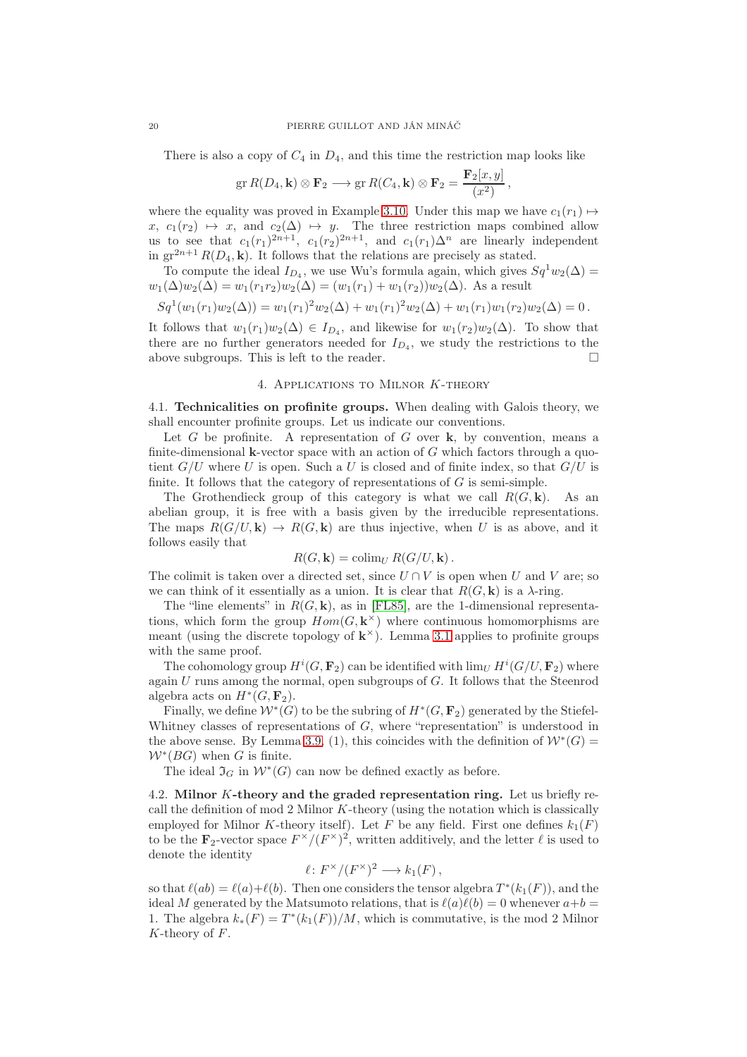There is also a copy of  $C_4$  in  $D_4$ , and this time the restriction map looks like

$$
\operatorname{gr} R(D_4, \mathbf{k}) \otimes \mathbf{F}_2 \longrightarrow \operatorname{gr} R(C_4, \mathbf{k}) \otimes \mathbf{F}_2 = \frac{\mathbf{F}_2[x, y]}{(x^2)},
$$

where the equality was proved in Example [3.10.](#page-17-0) Under this map we have  $c_1(r_1) \mapsto$  $x, c_1(r_2) \mapsto x, \text{ and } c_2(\Delta) \mapsto y.$  The three restriction maps combined allow us to see that  $c_1(r_1)^{2n+1}$ ,  $c_1(r_2)^{2n+1}$ , and  $c_1(r_1)\Delta^n$  are linearly independent in  $gr^{2n+1}R(D_4, \mathbf{k})$ . It follows that the relations are precisely as stated.

To compute the ideal  $I_{D_4}$ , we use Wu's formula again, which gives  $Sq^1 w_2(\Delta) =$  $w_1(\Delta)w_2(\Delta) = w_1(r_1r_2)w_2(\Delta) = (w_1(r_1) + w_1(r_2))w_2(\Delta)$ . As a result

$$
Sq1(w1(r1)w2(\Delta)) = w1(r1)2w2(\Delta) + w1(r1)2w2(\Delta) + w1(r1)w1(r2)w2(\Delta) = 0.
$$

It follows that  $w_1(r_1)w_2(\Delta) \in I_{D_4}$ , and likewise for  $w_1(r_2)w_2(\Delta)$ . To show that there are no further generators needed for  $I_{D_4}$ , we study the restrictions to the above subgroups. This is left to the reader.  $\Box$ 

## 4. Applications to Milnor K-theory

<span id="page-19-1"></span>4.1. Technicalities on profinite groups. When dealing with Galois theory, we shall encounter profinite groups. Let us indicate our conventions.

Let  $G$  be profinite. A representation of  $G$  over  $k$ , by convention, means a finite-dimensional **k**-vector space with an action of  $G$  which factors through a quotient  $G/U$  where U is open. Such a U is closed and of finite index, so that  $G/U$  is finite. It follows that the category of representations of  $G$  is semi-simple.

The Grothendieck group of this category is what we call  $R(G, \mathbf{k})$ . As an abelian group, it is free with a basis given by the irreducible representations. The maps  $R(G/U, \mathbf{k}) \to R(G, \mathbf{k})$  are thus injective, when U is as above, and it follows easily that

$$
R(G, \mathbf{k}) = \operatorname{colim}_U R(G/U, \mathbf{k}).
$$

The colimit is taken over a directed set, since  $U \cap V$  is open when U and V are; so we can think of it essentially as a union. It is clear that  $R(G, \mathbf{k})$  is a  $\lambda$ -ring.

The "line elements" in  $R(G, \mathbf{k})$ , as in [\[FL85\]](#page-23-2), are the 1-dimensional representations, which form the group  $Hom(G, \mathbf{k}^{\times})$  where continuous homomorphisms are meant (using the discrete topology of  $\mathbf{k}^{\times}$ ). Lemma [3.1](#page-12-1) applies to profinite groups with the same proof.

The cohomology group  $H^i(G, \mathbf{F}_2)$  can be identified with  $\lim_U H^i(G/U, \mathbf{F}_2)$  where again  $U$  runs among the normal, open subgroups of  $G$ . It follows that the Steenrod algebra acts on  $H^*(G, \mathbf{F}_2)$ .

Finally, we define  $\mathcal{W}^*(G)$  to be the subring of  $H^*(G, \mathbf{F}_2)$  generated by the Stiefel-Whitney classes of representations of G, where "representation" is understood in the above sense. By Lemma [3.9,](#page-16-0) (1), this coincides with the definition of  $W^*(G)$  =  $W^*(BG)$  when G is finite.

The ideal  $\Im_G$  in  $\mathcal{W}^*(G)$  can now be defined exactly as before.

<span id="page-19-0"></span>4.2. Milnor K-theory and the graded representation ring. Let us briefly recall the definition of mod 2 Milnor  $K$ -theory (using the notation which is classically employed for Milnor K-theory itself). Let F be any field. First one defines  $k_1(F)$ to be the  $\mathbf{F}_2$ -vector space  $F^{\times}/(F^{\times})^2$ , written additively, and the letter  $\ell$  is used to denote the identity

$$
\ell\colon F^\times/(F^\times)^2\longrightarrow k_1(F)\,,
$$

so that  $\ell(ab) = \ell(a)+\ell(b)$ . Then one considers the tensor algebra  $T^*(k_1(F))$ , and the ideal M generated by the Matsumoto relations, that is  $\ell(a)\ell(b) = 0$  whenever  $a+b =$ 1. The algebra  $k_*(F) = T^*(k_1(F))/M$ , which is commutative, is the mod 2 Milnor  $K$ -theory of  $F$ .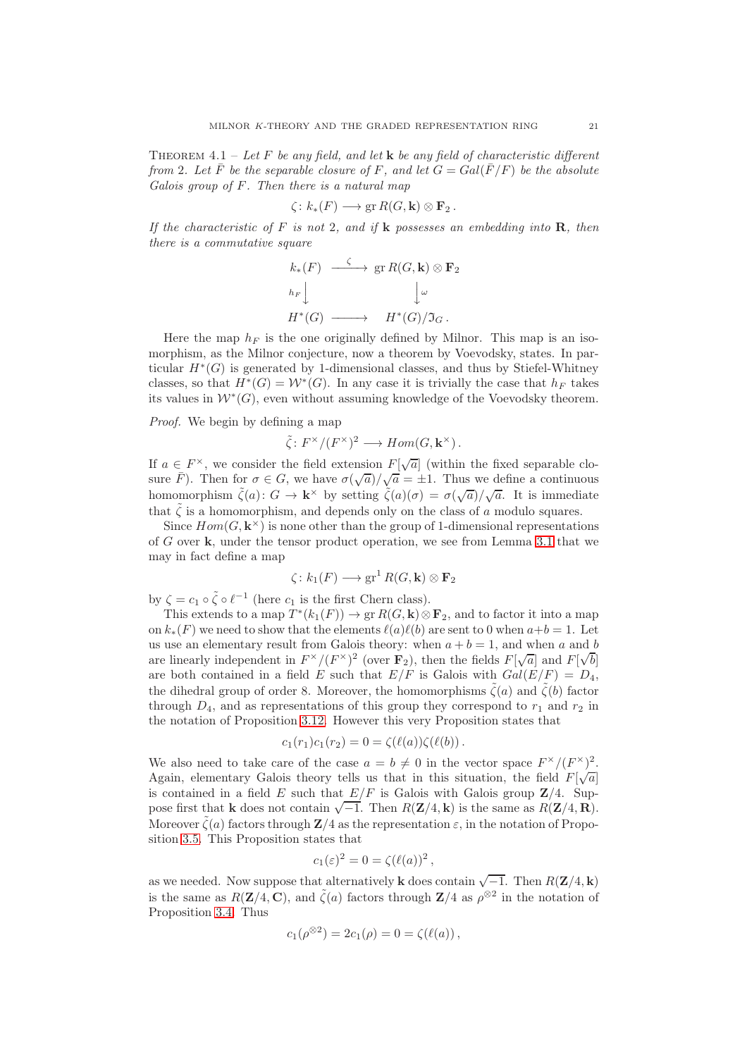<span id="page-20-0"></span>THEOREM 4.1 – Let F be any field, and let  $\bf{k}$  be any field of characteristic different from 2. Let  $\overline{F}$  be the separable closure of F, and let  $G = Gal(\overline{F}/F)$  be the absolute Galois group of F. Then there is a natural map

$$
\zeta\colon k_*(F)\longrightarrow \operatorname{gr} R(G,\mathbf{k})\otimes \mathbf{F}_2\,.
$$

If the characteristic of F is not 2, and if  $k$  possesses an embedding into  $R$ , then there is a commutative square

$$
k_*(F) \xrightarrow{\zeta} \text{gr } R(G, \mathbf{k}) \otimes \mathbf{F}_2
$$
  
\n
$$
h_F \downarrow \qquad \qquad \downarrow \omega
$$
  
\n
$$
H^*(G) \longrightarrow H^*(G)/\mathfrak{I}_G.
$$

Here the map  $h_F$  is the one originally defined by Milnor. This map is an isomorphism, as the Milnor conjecture, now a theorem by Voevodsky, states. In particular  $H^*(G)$  is generated by 1-dimensional classes, and thus by Stiefel-Whitney classes, so that  $H^*(G) = \mathcal{W}^*(G)$ . In any case it is trivially the case that  $h_F$  takes its values in  $\mathcal{W}^*(G)$ , even without assuming knowledge of the Voevodsky theorem.

Proof. We begin by defining a map

$$
\tilde{\zeta} \colon F^{\times}/(F^{\times})^2 \longrightarrow Hom(G, \mathbf{k}^{\times}).
$$

If  $a \in F^{\times}$ , we consider the field extension  $F[\sqrt{a}]$  (within the fixed separable closure  $\bar{F}$ ). Then for  $\sigma \in G$ , we have  $\sigma(\sqrt{a})/\sqrt{a} = \pm 1$ . Thus we define a continuous homomorphism  $\tilde{\zeta}(a) \colon G \to \mathbf{k}^\times$  by setting  $\tilde{\zeta}(a)(\sigma) = \sigma(\sqrt{a})/\sqrt{a}$ . It is immediate that  $\zeta$  is a homomorphism, and depends only on the class of a modulo squares.

Since  $Hom(G, \mathbf{k}^{\times})$  is none other than the group of 1-dimensional representations of G over k, under the tensor product operation, we see from Lemma [3.1](#page-12-1) that we may in fact define a map

$$
\zeta\colon k_1(F)\longrightarrow \operatorname{gr}^1R(G,\mathbf{k})\otimes \mathbf{F}_2
$$

by  $\zeta = c_1 \circ \tilde{\zeta} \circ \ell^{-1}$  (here  $c_1$  is the first Chern class).

This extends to a map  $T^*(k_1(F)) \to \text{gr } R(G, \mathbf{k}) \otimes \mathbf{F}_2$ , and to factor it into a map on  $k_*(F)$  we need to show that the elements  $\ell(a)\ell(b)$  are sent to 0 when  $a+b=1$ . Let us use an elementary result from Galois theory: when  $a + b = 1$ , and when a and b are linearly independent in  $F^{\times}/(F^{\times})^2$  (over  $\mathbf{F}_2$ ), then the fields  $F[\sqrt{a}]$  and  $F[\sqrt{b}]$ are both contained in a field E such that  $E/F$  is Galois with  $Gal(E/F) = D_4$ , the dihedral group of order 8. Moreover, the homomorphisms  $\tilde{\zeta}(a)$  and  $\tilde{\zeta}(b)$  factor through  $D_4$ , and as representations of this group they correspond to  $r_1$  and  $r_2$  in the notation of Proposition [3.12.](#page-18-0) However this very Proposition states that

$$
c_1(r_1)c_1(r_2) = 0 = \zeta(\ell(a))\zeta(\ell(b)).
$$

We also need to take care of the case  $a = b \neq 0$  in the vector space  $F^{\times}/(F^{\times})^2$ . Again, elementary Galois theory tells us that in this situation, the field  $F[\sqrt{a}]$ is contained in a field E such that  $E/F$  is Galois with Galois group  $\mathbb{Z}/4$ . Suppose first that **k** does not contain  $\sqrt{-1}$ . Then  $R(\mathbf{Z}/4, \mathbf{k})$  is the same as  $R(\mathbf{Z}/4, \mathbf{R})$ . Moreover  $\zeta(a)$  factors through  $\mathbb{Z}/4$  as the representation  $\varepsilon$ , in the notation of Proposition [3.5.](#page-14-0) This Proposition states that

$$
c_1(\varepsilon)^2 = 0 = \zeta(\ell(a))^2,
$$

as we needed. Now suppose that alternatively **k** does contain  $\sqrt{-1}$ . Then  $R(\mathbf{Z}/4, \mathbf{k})$ is the same as  $R(\mathbf{Z}/4, \mathbf{C})$ , and  $\tilde{\zeta}(a)$  factors through  $\mathbf{Z}/4$  as  $\rho^{\otimes 2}$  in the notation of Proposition [3.4.](#page-13-2) Thus

$$
c_1(\rho^{\otimes 2}) = 2c_1(\rho) = 0 = \zeta(\ell(a)),
$$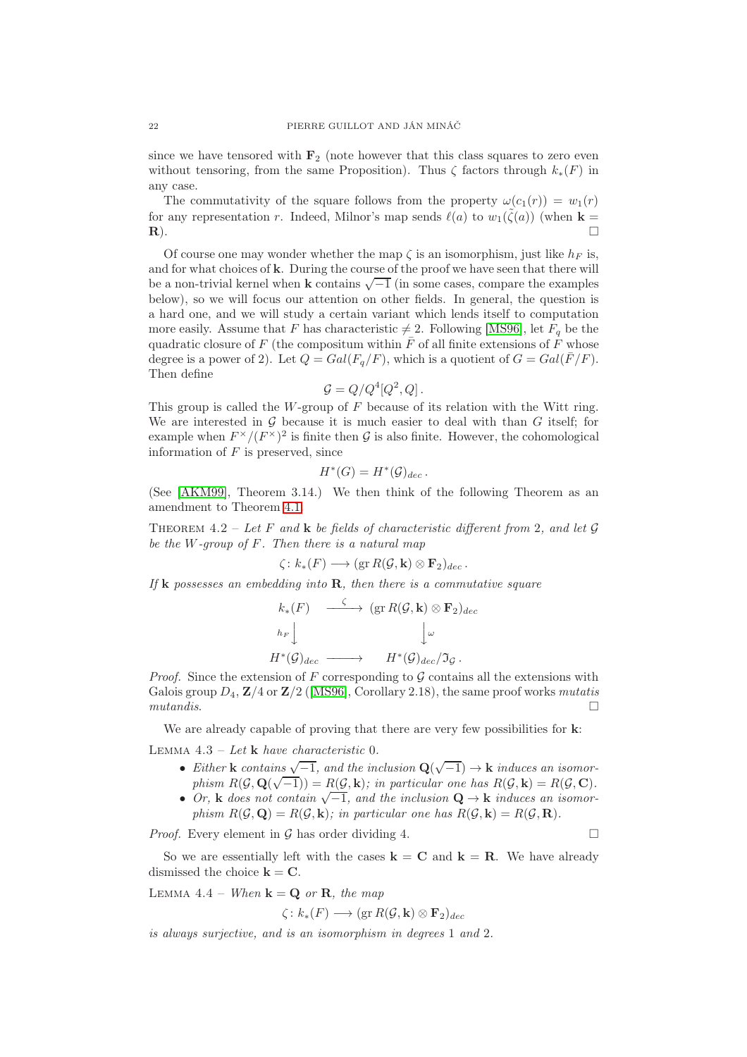since we have tensored with  $\mathbf{F}_2$  (note however that this class squares to zero even without tensoring, from the same Proposition). Thus  $\zeta$  factors through  $k_*(F)$  in any case.

The commutativity of the square follows from the property  $\omega(c_1(r)) = w_1(r)$ for any representation r. Indeed, Milnor's map sends  $\ell(a)$  to  $w_1(\tilde{\zeta}(a))$  (when  $\mathbf{k} =$  $\Box$ 

Of course one may wonder whether the map  $\zeta$  is an isomorphism, just like  $h_F$  is, and for what choices of k. During the course of the proof we have seen that there will be a non-trivial kernel when  $\bf{k}$  contains  $\sqrt{-1}$  (in some cases, compare the examples below), so we will focus our attention on other fields. In general, the question is a hard one, and we will study a certain variant which lends itself to computation more easily. Assume that F has characteristic  $\neq 2$ . Following [\[MS96\]](#page-24-3), let  $F_q$  be the quadratic closure of F (the compositum within  $\bar{F}$  of all finite extensions of  $\bar{F}$  whose degree is a power of 2). Let  $Q = Gal(F_q/F)$ , which is a quotient of  $G = Gal(\overline{F}/F)$ . Then define

$$
\mathcal{G} = Q/Q^4 [Q^2, Q] \, .
$$

This group is called the W-group of F because of its relation with the Witt ring. We are interested in  $G$  because it is much easier to deal with than  $G$  itself; for example when  $F^{\times}/(F^{\times})^2$  is finite then G is also finite. However, the cohomological information of  $F$  is preserved, since

$$
H^*(G) = H^*(\mathcal{G})_{dec}.
$$

(See [\[AKM99\]](#page-23-11), Theorem 3.14.) We then think of the following Theorem as an amendment to Theorem [4.1.](#page-20-0)

<span id="page-21-0"></span>THEOREM 4.2 – Let F and k be fields of characteristic different from 2, and let  $\mathcal G$ be the  $W$ -group of  $F$ . Then there is a natural map

$$
\zeta\colon k_*(F)\longrightarrow (\text{gr } R(\mathcal{G},\mathbf{k})\otimes \mathbf{F}_2)_{dec}\,.
$$

If **k** possesses an embedding into **R**, then there is a commutative square

$$
k_*(F) \longrightarrow (\text{gr } R(\mathcal{G}, \mathbf{k}) \otimes \mathbf{F}_2)_{dec}
$$
  
\n
$$
h_F \downarrow \qquad \qquad \downarrow \omega
$$
  
\n
$$
H^*(\mathcal{G})_{dec} \longrightarrow H^*(\mathcal{G})_{dec}/\mathfrak{I}_{\mathcal{G}}.
$$

*Proof.* Since the extension of F corresponding to  $\mathcal G$  contains all the extensions with Galois group  $D_4$ ,  $\mathbb{Z}/4$  or  $\mathbb{Z}/2$  ([\[MS96\]](#page-24-3), Corollary 2.18), the same proof works mutatis  $mut and is.$ 

We are already capable of proving that there are very few possibilities for  $k$ : LEMMA  $4.3$  – Let **k** have characteristic 0.

- Either **k** contains  $\sqrt{-1}$ , and the inclusion  $\mathbf{Q}(\sqrt{-1}) \to \mathbf{k}$  induces an isomorphism  $R(\mathcal{G}, \mathbf{Q}(\sqrt{-1})) = R(\mathcal{G}, \mathbf{k})$ ; in particular one has  $R(\mathcal{G}, \mathbf{k}) = R(\mathcal{G}, \mathbf{C})$ .
- Or, k does not contain  $\sqrt{-1}$ , and the inclusion  $\mathbf{Q} \to \mathbf{k}$  induces an isomorphism  $R(\mathcal{G}, \mathbf{Q}) = R(\mathcal{G}, \mathbf{k})$ ; in particular one has  $R(\mathcal{G}, \mathbf{k}) = R(\mathcal{G}, \mathbf{R})$ .

*Proof.* Every element in G has order dividing 4.

So we are essentially left with the cases  $\mathbf{k} = \mathbf{C}$  and  $\mathbf{k} = \mathbf{R}$ . We have already dismissed the choice  $\mathbf{k} = \mathbf{C}$ .

<span id="page-21-1"></span>LEMMA 4.4 – When  $\mathbf{k} = \mathbf{Q}$  or **R**, the map

$$
\zeta\colon k_*(F)\longrightarrow (\operatorname{gr} R(\mathcal{G},\mathbf{k})\otimes \mathbf{F}_2)_{dec}
$$

is always surjective, and is an isomorphism in degrees 1 and 2.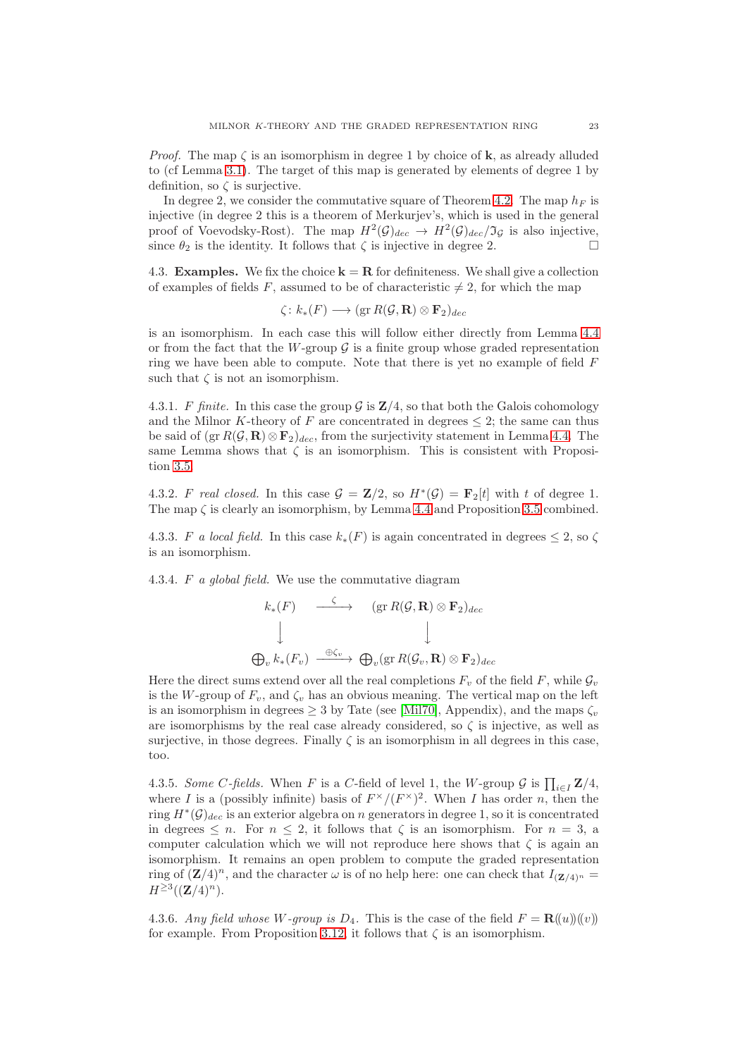*Proof.* The map  $\zeta$  is an isomorphism in degree 1 by choice of **k**, as already alluded to (cf Lemma [3.1\)](#page-12-1). The target of this map is generated by elements of degree 1 by definition, so  $\zeta$  is surjective.

In degree 2, we consider the commutative square of Theorem [4.2.](#page-21-0) The map  $h_F$  is injective (in degree 2 this is a theorem of Merkurjev's, which is used in the general proof of Voevodsky-Rost). The map  $H^2(\mathcal{G})_{dec} \to H^2(\mathcal{G})_{dec}/\mathfrak{I}_{\mathcal{G}}$  is also injective, since  $\theta_2$  is the identity. It follows that  $\zeta$  is injective in degree 2.

4.3. **Examples.** We fix the choice  $\mathbf{k} = \mathbf{R}$  for definiteness. We shall give a collection of examples of fields F, assumed to be of characteristic  $\neq 2$ , for which the map

$$
\zeta\colon k_*(F)\longrightarrow (\operatorname{gr} R(\mathcal{G},\mathbf{R})\otimes \mathbf{F}_2)_{dec}
$$

is an isomorphism. In each case this will follow either directly from Lemma [4.4](#page-21-1) or from the fact that the W-group  $\mathcal G$  is a finite group whose graded representation ring we have been able to compute. Note that there is yet no example of field F such that  $\zeta$  is not an isomorphism.

4.3.1. F finite. In this case the group  $\mathcal G$  is  $\mathbb Z/4$ , so that both the Galois cohomology and the Milnor K-theory of F are concentrated in degrees  $\leq$  2; the same can thus be said of  $(\text{gr } R(G, \mathbf{R}) \otimes \mathbf{F}_2)_{dec}$ , from the surjectivity statement in Lemma [4.4.](#page-21-1) The same Lemma shows that  $\zeta$  is an isomorphism. This is consistent with Proposition [3.5.](#page-14-0)

4.3.2. F real closed. In this case  $G = \mathbb{Z}/2$ , so  $H^*(\mathcal{G}) = \mathbb{F}_2[t]$  with t of degree 1. The map  $\zeta$  is clearly an isomorphism, by Lemma [4.4](#page-21-1) and Proposition [3.5](#page-14-0) combined.

4.3.3. F a local field. In this case  $k_*(F)$  is again concentrated in degrees  $\leq 2$ , so  $\zeta$ is an isomorphism.

4.3.4. F a global field. We use the commutative diagram

$$
k_*(F) \xrightarrow{\zeta} (\text{gr } R(\mathcal{G}, \mathbf{R}) \otimes \mathbf{F}_2)_{dec}
$$
  

$$
\downarrow \qquad \qquad \downarrow
$$
  

$$
\bigoplus_{v} k_*(F_v) \xrightarrow{\oplus \zeta_v} \bigoplus_{v} (\text{gr } R(\mathcal{G}_v, \mathbf{R}) \otimes \mathbf{F}_2)_{dec}
$$

Here the direct sums extend over all the real completions  $F_v$  of the field F, while  $\mathcal{G}_v$ is the W-group of  $F_v$ , and  $\zeta_v$  has an obvious meaning. The vertical map on the left is an isomorphism in degrees  $\geq 3$  by Tate (see [\[Mil70\]](#page-23-0), Appendix), and the maps  $\zeta_v$ are isomorphisms by the real case already considered, so  $\zeta$  is injective, as well as surjective, in those degrees. Finally  $\zeta$  is an isomorphism in all degrees in this case. too.

4.3.5. Some C-fields. When F is a C-field of level 1, the W-group  $\mathcal G$  is  $\prod_{i\in I} \mathbf Z/4$ , where I is a (possibly infinite) basis of  $F^{\times}/(F^{\times})^2$ . When I has order n, then the ring  $H^*(\mathcal{G})_{dec}$  is an exterior algebra on n generators in degree 1, so it is concentrated in degrees  $\leq n$ . For  $n \leq 2$ , it follows that  $\zeta$  is an isomorphism. For  $n = 3$ , a computer calculation which we will not reproduce here shows that  $\zeta$  is again an isomorphism. It remains an open problem to compute the graded representation ring of  $(\mathbf{Z}/4)^n$ , and the character  $\omega$  is of no help here: one can check that  $I_{(\mathbf{Z}/4)^n}$  $H^{\geq 3}((\mathbf{Z}/4)^n).$ 

4.3.6. Any field whose W-group is  $D_4$ . This is the case of the field  $F = \mathbf{R}(\{u\})(\{v\})$ for example. From Proposition [3.12,](#page-18-0) it follows that  $\zeta$  is an isomorphism.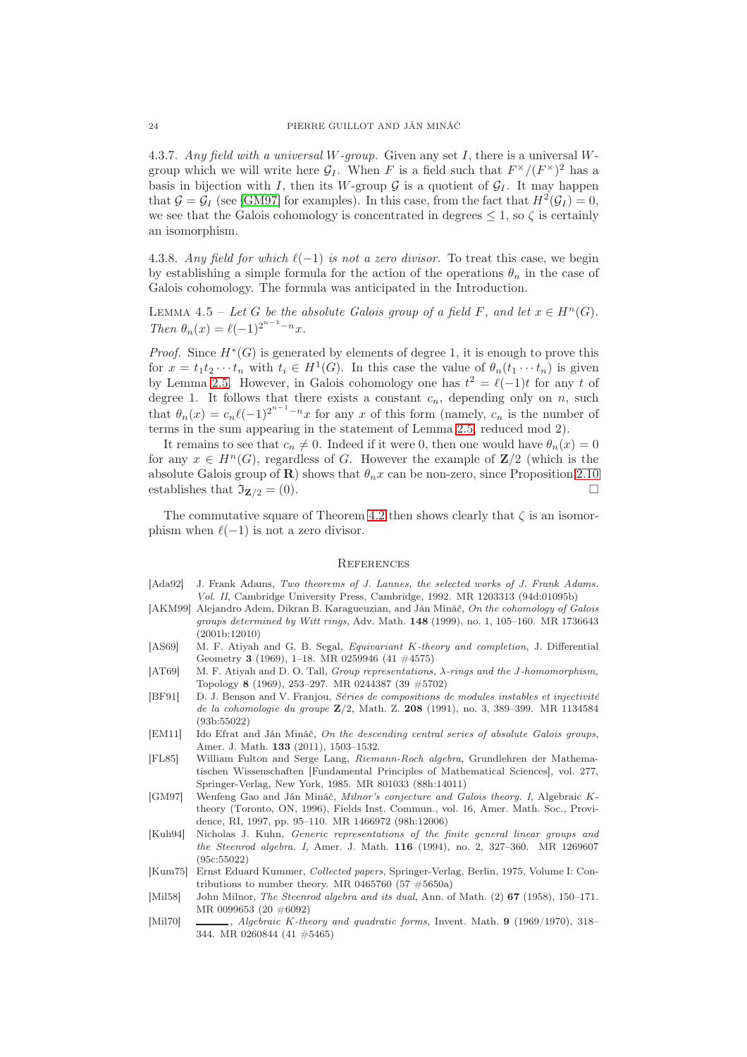4.3.7. Any field with a universal W-group. Given any set  $I$ , there is a universal Wgroup which we will write here  $\mathcal{G}_I$ . When F is a field such that  $F^{\times}/(F^{\times})^2$  has a basis in bijection with I, then its W-group  $\mathcal G$  is a quotient of  $\mathcal G_I$ . It may happen that  $G = G_I$  (see [\[GM97\]](#page-23-12) for examples). In this case, from the fact that  $H^2(G_I) = 0$ , we see that the Galois cohomology is concentrated in degrees  $\leq 1$ , so  $\zeta$  is certainly an isomorphism.

4.3.8. Any field for which  $\ell(-1)$  is not a zero divisor. To treat this case, we begin by establishing a simple formula for the action of the operations  $\theta_n$  in the case of Galois cohomology. The formula was anticipated in the Introduction.

<span id="page-23-3"></span>LEMMA 4.5 – Let G be the absolute Galois group of a field F, and let  $x \in H^n(G)$ . Then  $\theta_n(x) = \ell(-1)^{2^{n-1}-n}x$ .

*Proof.* Since  $H^*(G)$  is generated by elements of degree 1, it is enough to prove this for  $x = t_1 t_2 \cdots t_n$  with  $t_i \in H^1(G)$ . In this case the value of  $\theta_n(t_1 \cdots t_n)$  is given by Lemma [2.5.](#page-5-0) However, in Galois cohomology one has  $t^2 = \ell(-1)t$  for any t of degree 1. It follows that there exists a constant  $c_n$ , depending only on n, such that  $\theta_n(x) = c_n \ell(-1)^{2^{n-1}-n}x$  for any x of this form (namely,  $c_n$  is the number of terms in the sum appearing in the statement of Lemma [2.5,](#page-5-0) reduced mod 2).

It remains to see that  $c_n \neq 0$ . Indeed if it were 0, then one would have  $\theta_n(x) = 0$ for any  $x \in H^{n}(G)$ , regardless of G. However the example of  $\mathbb{Z}/2$  (which is the absolute Galois group of **R**) shows that  $\theta_n x$  can be non-zero, since Proposition [2.10](#page-8-1) establishes that  $\mathfrak{I}_{\mathbf{Z}/2} = (0)$ .

The commutative square of Theorem [4.2](#page-21-0) then shows clearly that  $\zeta$  is an isomorphism when  $\ell(-1)$  is not a zero divisor.

#### **REFERENCES**

- <span id="page-23-6"></span>[Ada92] J. Frank Adams, Two theorems of J. Lannes, the selected works of J. Frank Adams. Vol. II, Cambridge University Press, Cambridge, 1992. MR 1203313 (94d:01095b)
- <span id="page-23-11"></span>[AKM99] Alejandro Adem, Dikran B. Karagueuzian, and Ján Mináč, On the cohomology of Galois groups determined by Witt rings, Adv. Math. 148 (1999), no. 1, 105–160. MR 1736643 (2001b:12010)
- <span id="page-23-10"></span>[AS69] M. F. Atiyah and G. B. Segal, *Equivariant K-theory and completion*, J. Differential Geometry 3 (1969), 1–18. MR 0259946 (41 #4575)
- <span id="page-23-1"></span>[AT69] M. F. Atiyah and D. O. Tall, Group representations, λ-rings and the J-homomorphism, Topology 8 (1969), 253–297. MR 0244387 (39 #5702)
- <span id="page-23-4"></span>[BF91] D. J. Benson and V. Franjou, Séries de compositions de modules instables et injectivité de la cohomologie du groupe Z/2, Math. Z. 208 (1991), no. 3, 389–399. MR 1134584 (93b:55022)
- <span id="page-23-7"></span>[EM11] Ido Efrat and Ján Mináč, On the descending central series of absolute Galois groups, Amer. J. Math. 133 (2011), 1503–1532.
- <span id="page-23-2"></span>[FL85] William Fulton and Serge Lang, Riemann-Roch algebra, Grundlehren der Mathematischen Wissenschaften [Fundamental Principles of Mathematical Sciences], vol. 277, Springer-Verlag, New York, 1985. MR 801033 (88h:14011)
- <span id="page-23-12"></span>[GM97] Wenfeng Gao and Ján Mináč, Milnor's conjecture and Galois theory. I, Algebraic Ktheory (Toronto, ON, 1996), Fields Inst. Commun., vol. 16, Amer. Math. Soc., Providence, RI, 1997, pp. 95–110. MR 1466972 (98h:12006)
- <span id="page-23-5"></span>[Kuh94] Nicholas J. Kuhn, Generic representations of the finite general linear groups and the Steenrod algebra. I, Amer. J. Math. 116 (1994), no. 2, 327–360. MR 1269607 (95c:55022)
- <span id="page-23-9"></span>[Kum75] Ernst Eduard Kummer, Collected papers, Springer-Verlag, Berlin, 1975, Volume I: Contributions to number theory. MR 0465760 (57  $\#5650a$ )
- <span id="page-23-8"></span>[Mil58] John Milnor, The Steenrod algebra and its dual, Ann. of Math. (2) 67 (1958), 150–171. MR 0099653 (20 #6092)
- <span id="page-23-0"></span>[Mil70] , Algebraic K-theory and quadratic forms, Invent. Math. 9 (1969/1970), 318– 344. MR 0260844 (41 #5465)